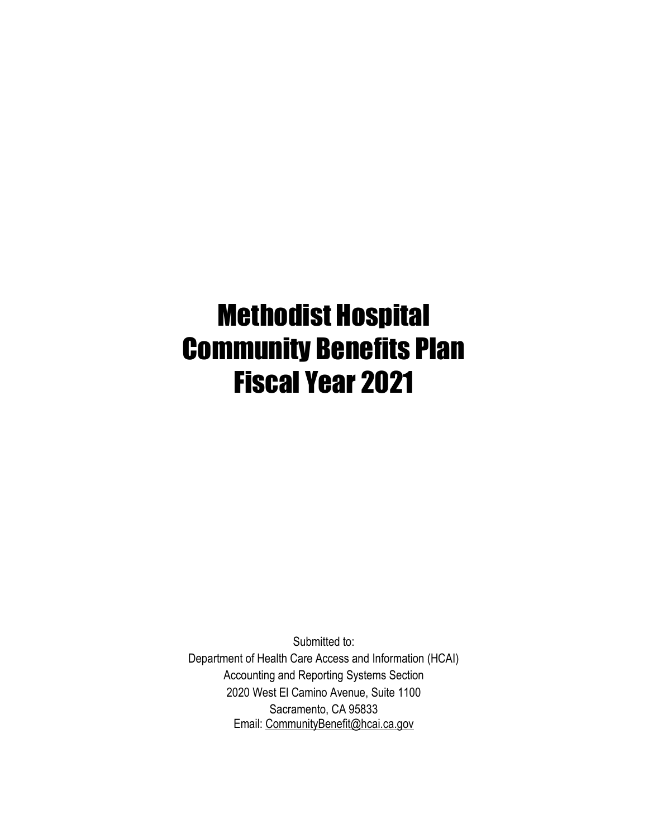# Methodist Hospital Community Benefits Plan Fiscal Year 2021

Submitted to: Department of Health Care Access and Information (HCAI) Accounting and Reporting Systems Section 2020 West El Camino Avenue, Suite 1100 Sacramento, CA 95833 Email: [CommunityBenefit@hcai.ca.gov](mailto:CommunityBenefit@hcai.ca.gov)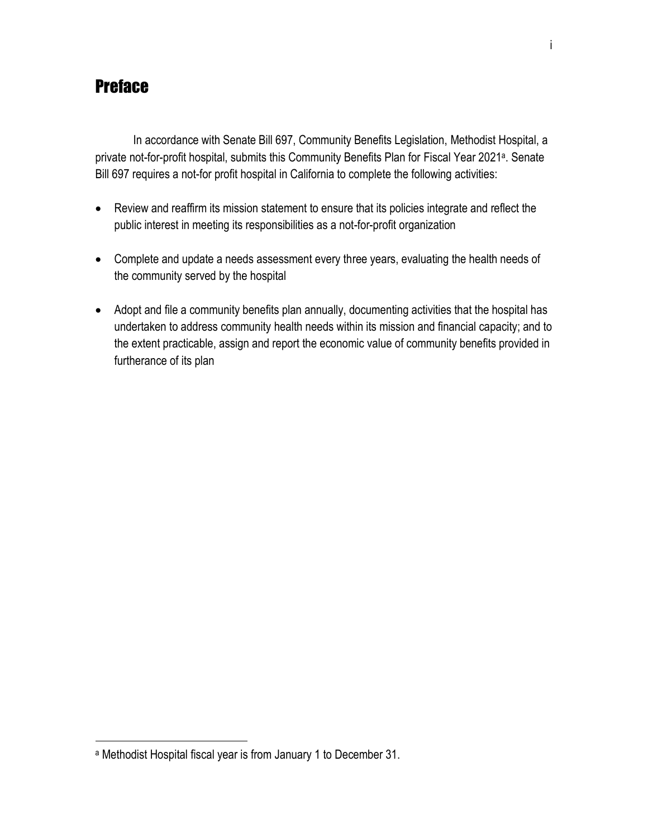# **Preface**

In accordance with Senate Bill 697, Community Benefits Legislation, Methodist Hospital, a private not-for-profit hospital, submits this Community Benefits Plan for Fiscal Year 2021<sup>a</sup>. Senate Bill 697 requires a not-for profit hospital in California to complete the following activities:

- Review and reaffirm its mission statement to ensure that its policies integrate and reflect the public interest in meeting its responsibilities as a not-for-profit organization
- Complete and update a needs assessment every three years, evaluating the health needs of the community served by the hospital
- Adopt and file a community benefits plan annually, documenting activities that the hospital has undertaken to address community health needs within its mission and financial capacity; and to the extent practicable, assign and report the economic value of community benefits provided in furtherance of its plan

 $\overline{a}$ 

<sup>a</sup> Methodist Hospital fiscal year is from January 1 to December 31.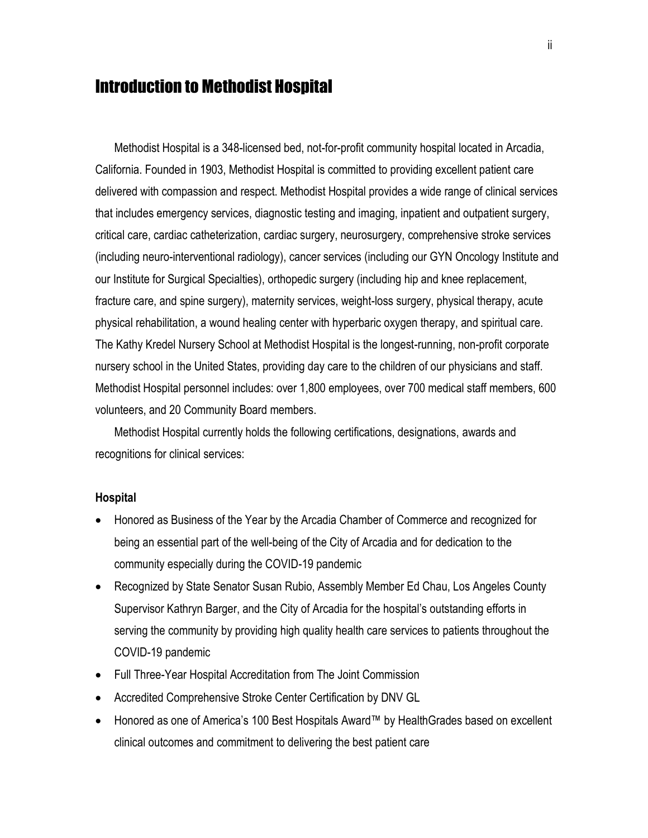# Introduction to Methodist Hospital

Methodist Hospital is a 348-licensed bed, not-for-profit community hospital located in Arcadia, California. Founded in 1903, Methodist Hospital is committed to providing excellent patient care delivered with compassion and respect. Methodist Hospital provides a wide range of clinical services that includes emergency services, diagnostic testing and imaging, inpatient and outpatient surgery, critical care, cardiac catheterization, cardiac surgery, neurosurgery, comprehensive stroke services (including neuro-interventional radiology), cancer services (including our GYN Oncology Institute and our Institute for Surgical Specialties), orthopedic surgery (including hip and knee replacement, fracture care, and spine surgery), maternity services, weight-loss surgery, physical therapy, acute physical rehabilitation, a wound healing center with hyperbaric oxygen therapy, and spiritual care. The Kathy Kredel Nursery School at Methodist Hospital is the longest-running, non-profit corporate nursery school in the United States, providing day care to the children of our physicians and staff. Methodist Hospital personnel includes: over 1,800 employees, over 700 medical staff members, 600 volunteers, and 20 Community Board members.

Methodist Hospital currently holds the following certifications, designations, awards and recognitions for clinical services:

#### **Hospital**

- Honored as Business of the Year by the Arcadia Chamber of Commerce and recognized for being an essential part of the well-being of the City of Arcadia and for dedication to the community especially during the COVID-19 pandemic
- Recognized by State Senator Susan Rubio, Assembly Member Ed Chau, Los Angeles County Supervisor Kathryn Barger, and the City of Arcadia for the hospital's outstanding efforts in serving the community by providing high quality health care services to patients throughout the COVID-19 pandemic
- Full Three-Year Hospital Accreditation from The Joint Commission
- Accredited Comprehensive Stroke Center Certification by DNV GL
- Honored as one of America's 100 Best Hospitals Award™ by HealthGrades based on excellent clinical outcomes and commitment to delivering the best patient care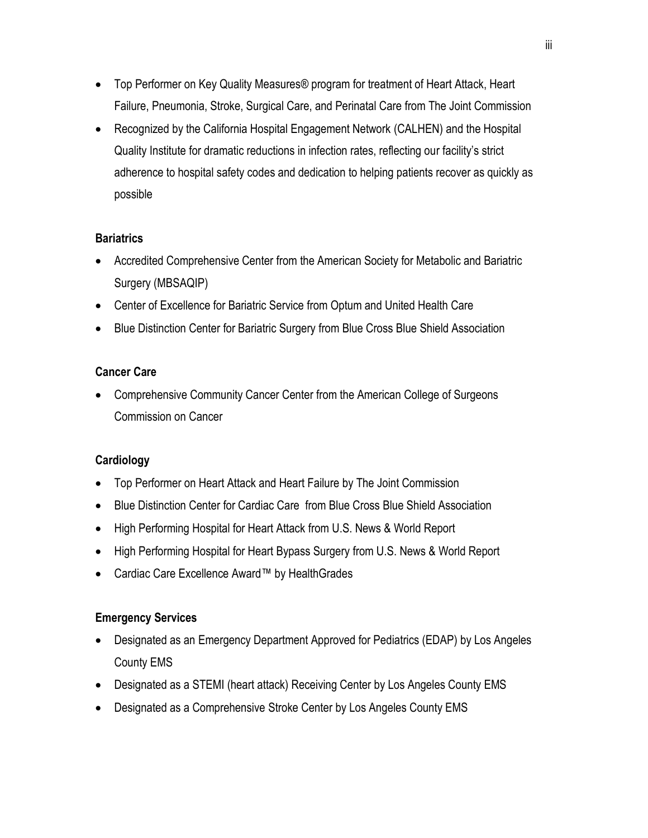- Top Performer on Key Quality Measures® program for treatment of Heart Attack, Heart Failure, Pneumonia, Stroke, Surgical Care, and Perinatal Care from The Joint Commission
- Recognized by the California Hospital Engagement Network (CALHEN) and the Hospital Quality Institute for dramatic reductions in infection rates, reflecting our facility's strict adherence to hospital safety codes and dedication to helping patients recover as quickly as possible

### **Bariatrics**

- Accredited Comprehensive Center from the American Society for Metabolic and Bariatric Surgery (MBSAQIP)
- Center of Excellence for Bariatric Service from Optum and United Health Care
- Blue Distinction Center for Bariatric Surgery from Blue Cross Blue Shield Association

### **Cancer Care**

 Comprehensive Community Cancer Center from the American College of Surgeons Commission on Cancer

### **Cardiology**

- Top Performer on Heart Attack and Heart Failure by The Joint Commission
- Blue Distinction Center for Cardiac Care from Blue Cross Blue Shield Association
- High Performing Hospital for Heart Attack from U.S. News & World Report
- High Performing Hospital for Heart Bypass Surgery from U.S. News & World Report
- Cardiac Care Excellence Award™ by HealthGrades

#### **Emergency Services**

- Designated as an Emergency Department Approved for Pediatrics (EDAP) by Los Angeles County EMS
- Designated as a STEMI (heart attack) Receiving Center by Los Angeles County EMS
- Designated as a Comprehensive Stroke Center by Los Angeles County EMS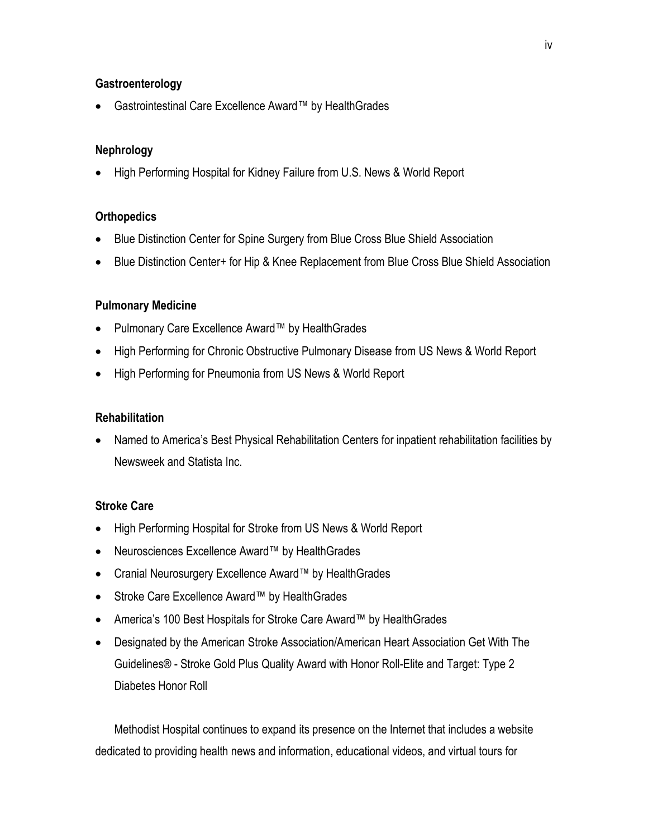#### **Gastroenterology**

Gastrointestinal Care Excellence Award™ by HealthGrades

#### **Nephrology**

• High Performing Hospital for Kidney Failure from U.S. News & World Report

#### **Orthopedics**

- Blue Distinction Center for Spine Surgery from Blue Cross Blue Shield Association
- Blue Distinction Center+ for Hip & Knee Replacement from Blue Cross Blue Shield Association

#### **Pulmonary Medicine**

- Pulmonary Care Excellence Award™ by HealthGrades
- High Performing for Chronic Obstructive Pulmonary Disease from US News & World Report
- High Performing for Pneumonia from US News & World Report

#### **Rehabilitation**

 Named to America's Best Physical Rehabilitation Centers for inpatient rehabilitation facilities by Newsweek and Statista Inc.

#### **Stroke Care**

- High Performing Hospital for Stroke from US News & World Report
- Neurosciences Excellence Award™ by HealthGrades
- Cranial Neurosurgery Excellence Award™ by HealthGrades
- Stroke Care Excellence Award™ by HealthGrades
- America's 100 Best Hospitals for Stroke Care Award™ by HealthGrades
- Designated by the American Stroke Association/American Heart Association Get With The Guidelines® - Stroke Gold Plus Quality Award with Honor Roll-Elite and Target: Type 2 Diabetes Honor Roll

Methodist Hospital continues to expand its presence on the Internet that includes a website dedicated to providing health news and information, educational videos, and virtual tours for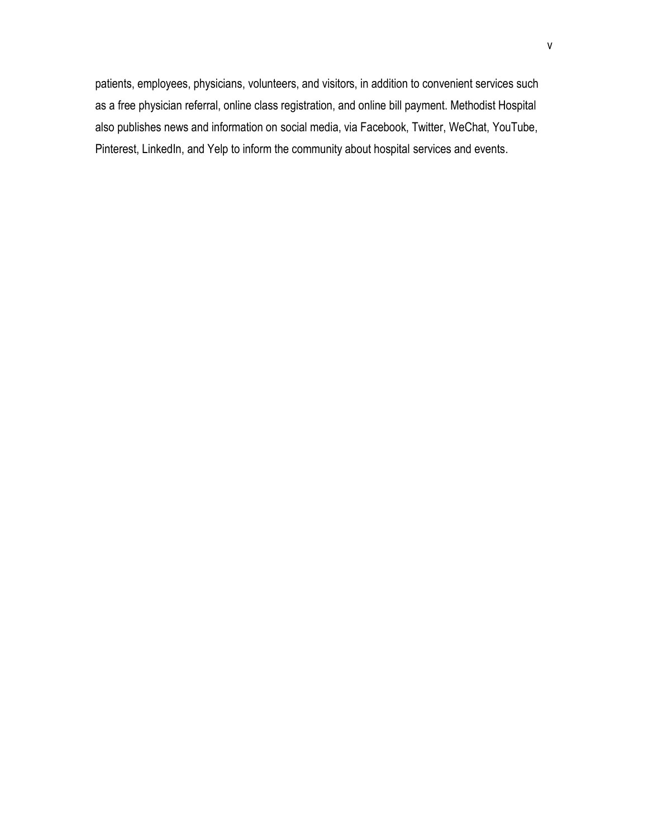patients, employees, physicians, volunteers, and visitors, in addition to convenient services such as a free physician referral, online class registration, and online bill payment. Methodist Hospital also publishes news and information on social media, via Facebook, Twitter, WeChat, YouTube, Pinterest, LinkedIn, and Yelp to inform the community about hospital services and events.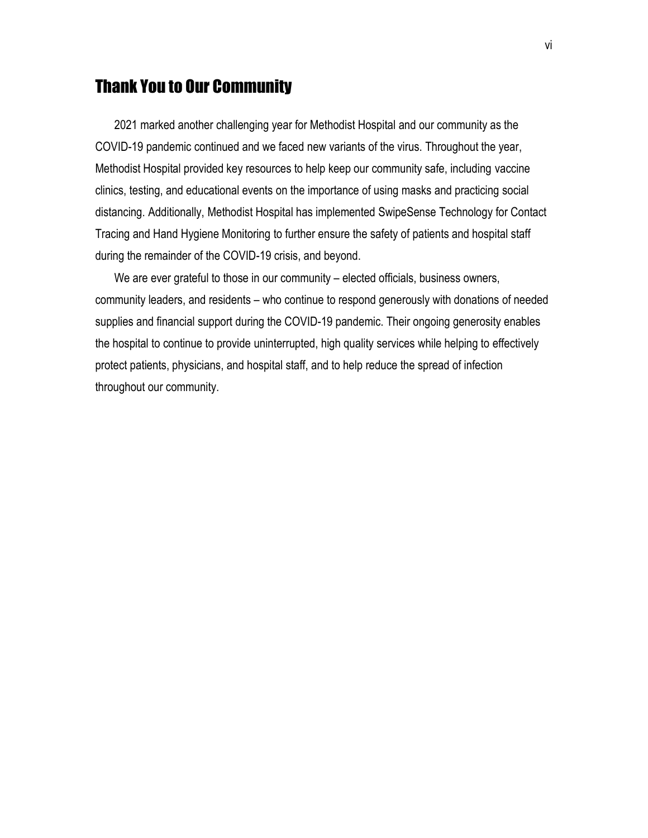# Thank You to Our Community

2021 marked another challenging year for Methodist Hospital and our community as the COVID-19 pandemic continued and we faced new variants of the virus. Throughout the year, Methodist Hospital provided key resources to help keep our community safe, including vaccine clinics, testing, and educational events on the importance of using masks and practicing social distancing. Additionally, Methodist Hospital has implemented SwipeSense Technology for Contact Tracing and Hand Hygiene Monitoring to further ensure the safety of patients and hospital staff during the remainder of the COVID-19 crisis, and beyond.

We are ever grateful to those in our community – elected officials, business owners, community leaders, and residents – who continue to respond generously with donations of needed supplies and financial support during the COVID-19 pandemic. Their ongoing generosity enables the hospital to continue to provide uninterrupted, high quality services while helping to effectively protect patients, physicians, and hospital staff, and to help reduce the spread of infection throughout our community.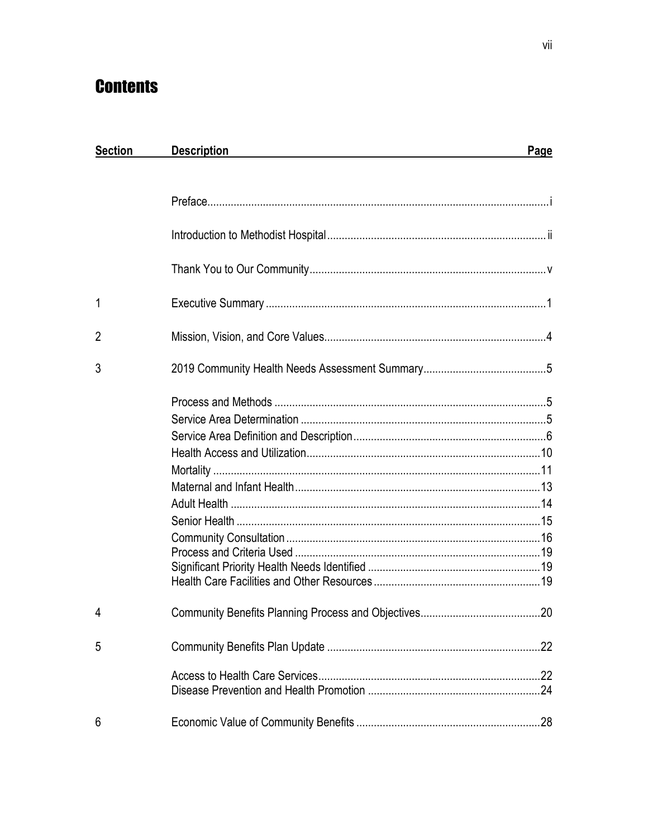# **Contents**

| <b>Section</b> | <b>Description</b> | Page |
|----------------|--------------------|------|
|                |                    |      |
|                |                    |      |
|                |                    |      |
|                |                    |      |
| 1              |                    |      |
| $\overline{2}$ |                    |      |
| 3              |                    |      |
|                |                    |      |
|                |                    |      |
|                |                    |      |
|                |                    |      |
|                |                    |      |
|                |                    |      |
|                |                    |      |
|                |                    |      |
|                |                    |      |
|                |                    |      |
|                |                    |      |
|                |                    |      |
| 4              |                    |      |
| 5              |                    |      |
|                |                    |      |
| 6              |                    |      |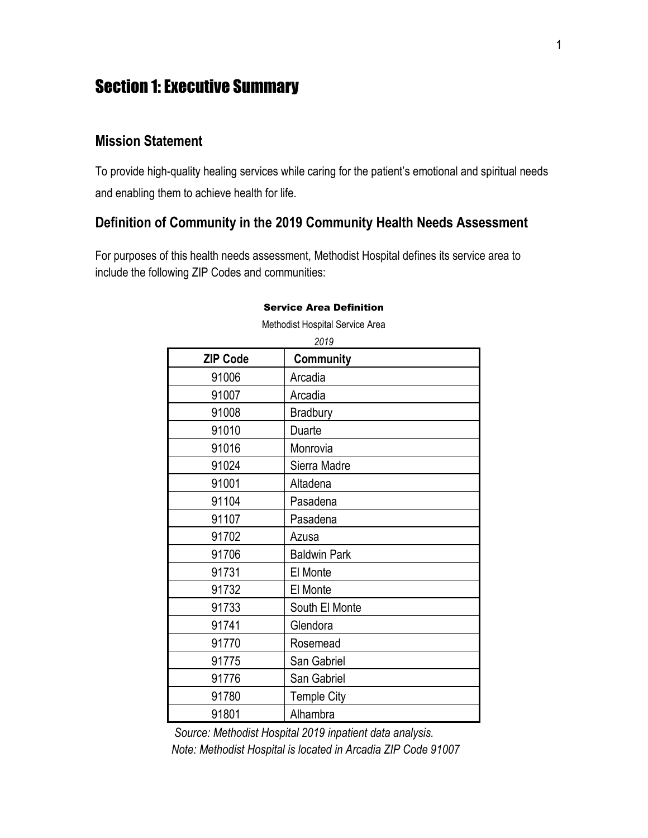# Section 1: Executive Summary

### **Mission Statement**

To provide high-quality healing services while caring for the patient's emotional and spiritual needs and enabling them to achieve health for life.

### **Definition of Community in the 2019 Community Health Needs Assessment**

For purposes of this health needs assessment, Methodist Hospital defines its service area to include the following ZIP Codes and communities:

| <b>ZIP Code</b> | 2019<br><b>Community</b> |
|-----------------|--------------------------|
| 91006           | Arcadia                  |
| 91007           | Arcadia                  |
| 91008           | <b>Bradbury</b>          |
| 91010           | Duarte                   |
| 91016           | Monrovia                 |
| 91024           | Sierra Madre             |
| 91001           | Altadena                 |
| 91104           | Pasadena                 |
| 91107           | Pasadena                 |
| 91702           | Azusa                    |
| 91706           | <b>Baldwin Park</b>      |
| 91731           | El Monte                 |
| 91732           | El Monte                 |
| 91733           | South El Monte           |
| 91741           | Glendora                 |
| 91770           | Rosemead                 |
| 91775           | San Gabriel              |
| 91776           | San Gabriel              |
| 91780           | <b>Temple City</b>       |
| 91801           | Alhambra                 |

#### Service Area Definition Methodist Hospital Service Area

*Source: Methodist Hospital 2019 inpatient data analysis.*

*Note: Methodist Hospital is located in Arcadia ZIP Code 91007*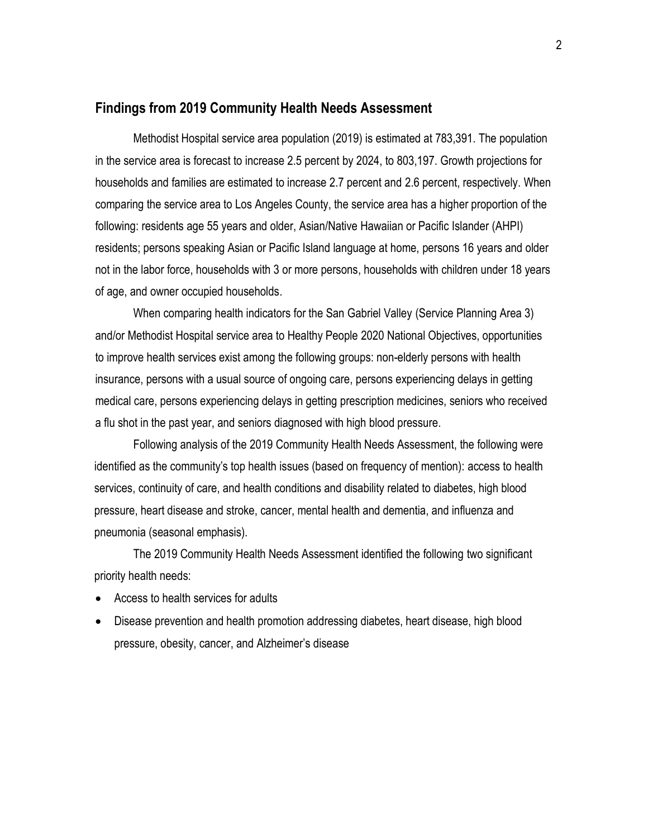### **Findings from 2019 Community Health Needs Assessment**

Methodist Hospital service area population (2019) is estimated at 783,391. The population in the service area is forecast to increase 2.5 percent by 2024, to 803,197. Growth projections for households and families are estimated to increase 2.7 percent and 2.6 percent, respectively. When comparing the service area to Los Angeles County, the service area has a higher proportion of the following: residents age 55 years and older, Asian/Native Hawaiian or Pacific Islander (AHPI) residents; persons speaking Asian or Pacific Island language at home, persons 16 years and older not in the labor force, households with 3 or more persons, households with children under 18 years of age, and owner occupied households.

When comparing health indicators for the San Gabriel Valley (Service Planning Area 3) and/or Methodist Hospital service area to Healthy People 2020 National Objectives, opportunities to improve health services exist among the following groups: non-elderly persons with health insurance, persons with a usual source of ongoing care, persons experiencing delays in getting medical care, persons experiencing delays in getting prescription medicines, seniors who received a flu shot in the past year, and seniors diagnosed with high blood pressure.

Following analysis of the 2019 Community Health Needs Assessment, the following were identified as the community's top health issues (based on frequency of mention): access to health services, continuity of care, and health conditions and disability related to diabetes, high blood pressure, heart disease and stroke, cancer, mental health and dementia, and influenza and pneumonia (seasonal emphasis).

The 2019 Community Health Needs Assessment identified the following two significant priority health needs:

- Access to health services for adults
- Disease prevention and health promotion addressing diabetes, heart disease, high blood pressure, obesity, cancer, and Alzheimer's disease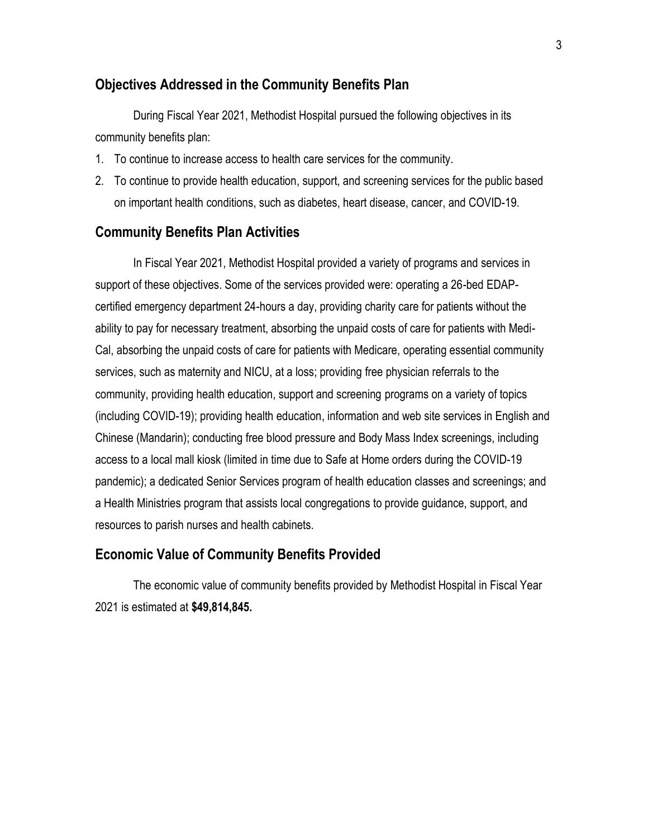### **Objectives Addressed in the Community Benefits Plan**

During Fiscal Year 2021, Methodist Hospital pursued the following objectives in its community benefits plan:

- 1. To continue to increase access to health care services for the community.
- 2. To continue to provide health education, support, and screening services for the public based on important health conditions, such as diabetes, heart disease, cancer, and COVID-19.

#### **Community Benefits Plan Activities**

In Fiscal Year 2021, Methodist Hospital provided a variety of programs and services in support of these objectives. Some of the services provided were: operating a 26-bed EDAPcertified emergency department 24-hours a day, providing charity care for patients without the ability to pay for necessary treatment, absorbing the unpaid costs of care for patients with Medi-Cal, absorbing the unpaid costs of care for patients with Medicare, operating essential community services, such as maternity and NICU, at a loss; providing free physician referrals to the community, providing health education, support and screening programs on a variety of topics (including COVID-19); providing health education, information and web site services in English and Chinese (Mandarin); conducting free blood pressure and Body Mass Index screenings, including access to a local mall kiosk (limited in time due to Safe at Home orders during the COVID-19 pandemic); a dedicated Senior Services program of health education classes and screenings; and a Health Ministries program that assists local congregations to provide guidance, support, and resources to parish nurses and health cabinets.

#### **Economic Value of Community Benefits Provided**

The economic value of community benefits provided by Methodist Hospital in Fiscal Year 2021 is estimated at **\$49,814,845.**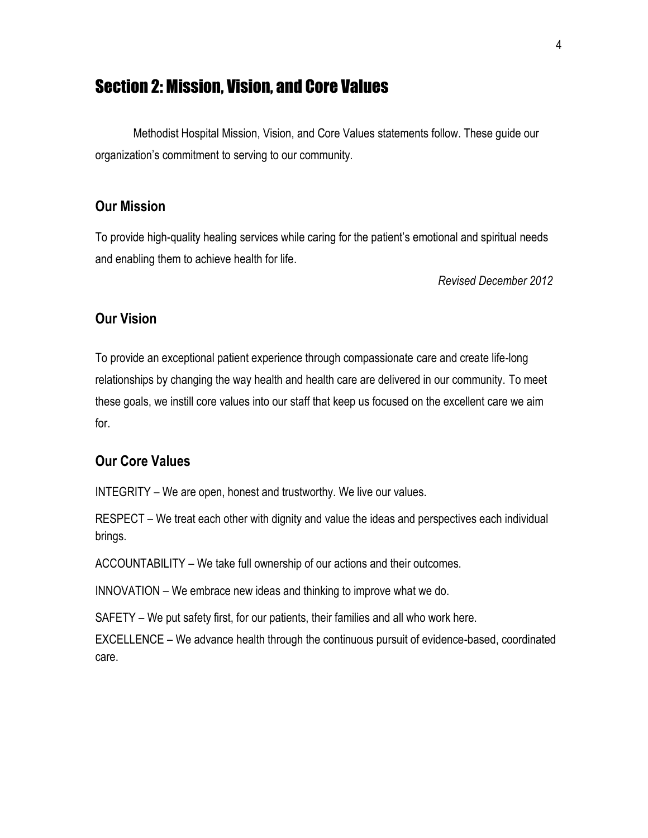# Section 2: Mission, Vision, and Core Values

Methodist Hospital Mission, Vision, and Core Values statements follow. These guide our organization's commitment to serving to our community.

### **Our Mission**

To provide high-quality healing services while caring for the patient's emotional and spiritual needs and enabling them to achieve health for life.

*Revised December 2012*

### **Our Vision**

To provide an exceptional patient experience through compassionate care and create life-long relationships by changing the way health and health care are delivered in our community. To meet these goals, we instill core values into our staff that keep us focused on the excellent care we aim for.

### **Our Core Values**

INTEGRITY – We are open, honest and trustworthy. We live our values.

RESPECT – We treat each other with dignity and value the ideas and perspectives each individual brings.

ACCOUNTABILITY – We take full ownership of our actions and their outcomes.

INNOVATION – We embrace new ideas and thinking to improve what we do.

SAFETY – We put safety first, for our patients, their families and all who work here.

EXCELLENCE – We advance health through the continuous pursuit of evidence-based, coordinated care.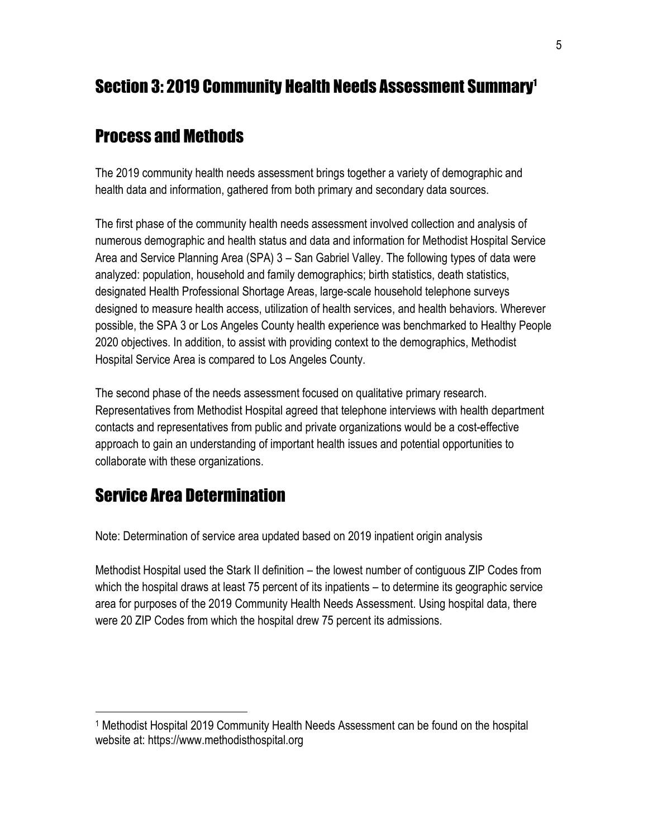# Section 3: 2019 Community Health Needs Assessment Summary<sup>1</sup>

# Process and Methods

The 2019 community health needs assessment brings together a variety of demographic and health data and information, gathered from both primary and secondary data sources.

The first phase of the community health needs assessment involved collection and analysis of numerous demographic and health status and data and information for Methodist Hospital Service Area and Service Planning Area (SPA) 3 – San Gabriel Valley. The following types of data were analyzed: population, household and family demographics; birth statistics, death statistics, designated Health Professional Shortage Areas, large-scale household telephone surveys designed to measure health access, utilization of health services, and health behaviors. Wherever possible, the SPA 3 or Los Angeles County health experience was benchmarked to Healthy People 2020 objectives. In addition, to assist with providing context to the demographics, Methodist Hospital Service Area is compared to Los Angeles County.

The second phase of the needs assessment focused on qualitative primary research. Representatives from Methodist Hospital agreed that telephone interviews with health department contacts and representatives from public and private organizations would be a cost-effective approach to gain an understanding of important health issues and potential opportunities to collaborate with these organizations.

# Service Area Determination

 $\overline{a}$ 

Note: Determination of service area updated based on 2019 inpatient origin analysis

Methodist Hospital used the Stark II definition – the lowest number of contiguous ZIP Codes from which the hospital draws at least 75 percent of its inpatients – to determine its geographic service area for purposes of the 2019 Community Health Needs Assessment. Using hospital data, there were 20 ZIP Codes from which the hospital drew 75 percent its admissions.

<sup>1</sup> Methodist Hospital 2019 Community Health Needs Assessment can be found on the hospital website at: https://www.methodisthospital.org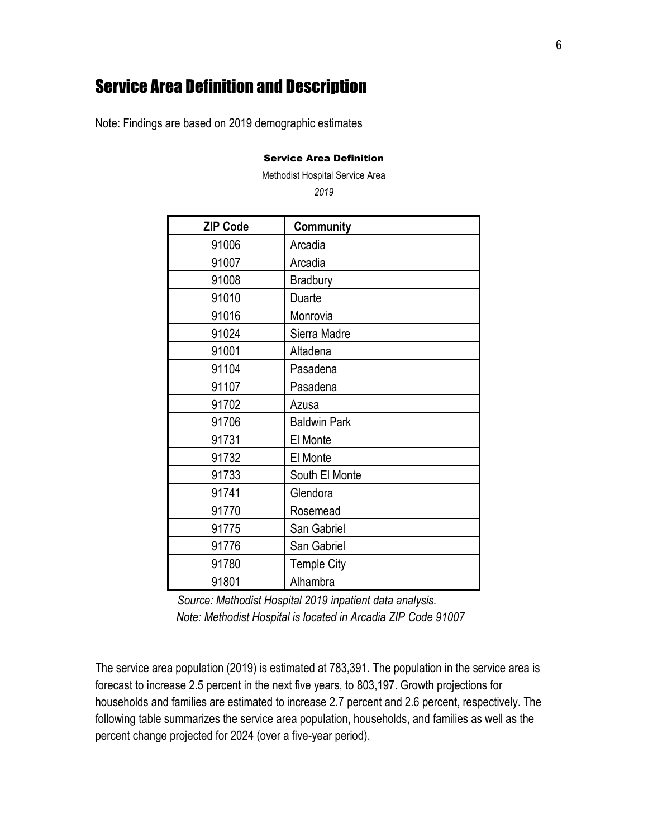# Service Area Definition and Description

Note: Findings are based on 2019 demographic estimates

#### Service Area Definition

Methodist Hospital Service Area

| <b>ZIP Code</b> | <b>Community</b>    |
|-----------------|---------------------|
| 91006           | Arcadia             |
| 91007           | Arcadia             |
| 91008           | <b>Bradbury</b>     |
| 91010           | Duarte              |
| 91016           | Monrovia            |
| 91024           | Sierra Madre        |
| 91001           | Altadena            |
| 91104           | Pasadena            |
| 91107           | Pasadena            |
| 91702           | Azusa               |
| 91706           | <b>Baldwin Park</b> |
| 91731           | El Monte            |
| 91732           | El Monte            |
| 91733           | South El Monte      |
| 91741           | Glendora            |
| 91770           | Rosemead            |
| 91775           | San Gabriel         |
| 91776           | San Gabriel         |
| 91780           | <b>Temple City</b>  |
| 91801           | Alhambra            |

*Source: Methodist Hospital 2019 inpatient data analysis. Note: Methodist Hospital is located in Arcadia ZIP Code 91007*

The service area population (2019) is estimated at 783,391. The population in the service area is forecast to increase 2.5 percent in the next five years, to 803,197. Growth projections for households and families are estimated to increase 2.7 percent and 2.6 percent, respectively. The following table summarizes the service area population, households, and families as well as the percent change projected for 2024 (over a five-year period).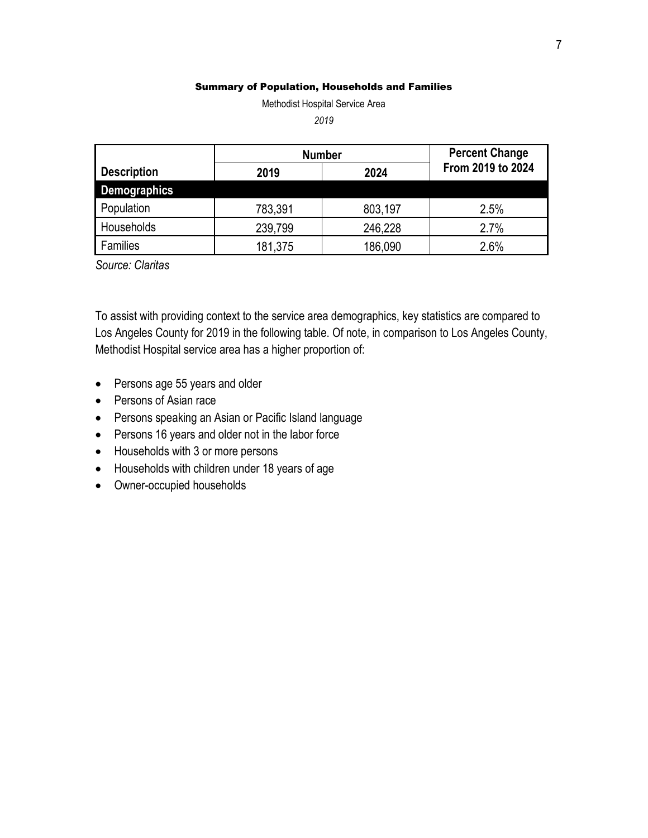#### Summary of Population, Households and Families

Methodist Hospital Service Area

*2019*

|                     | <b>Number</b> |         | <b>Percent Change</b> |
|---------------------|---------------|---------|-----------------------|
| <b>Description</b>  | 2024<br>2019  |         | From 2019 to 2024     |
| <b>Demographics</b> |               |         |                       |
| Population          | 783,391       | 803,197 | 2.5%                  |
| Households          | 239,799       | 246,228 | 2.7%                  |
| Families            | 181,375       | 186,090 | 2.6%                  |

*Source: Claritas*

To assist with providing context to the service area demographics, key statistics are compared to Los Angeles County for 2019 in the following table. Of note, in comparison to Los Angeles County, Methodist Hospital service area has a higher proportion of:

- Persons age 55 years and older
- Persons of Asian race
- Persons speaking an Asian or Pacific Island language
- Persons 16 years and older not in the labor force
- Households with 3 or more persons
- Households with children under 18 years of age
- Owner-occupied households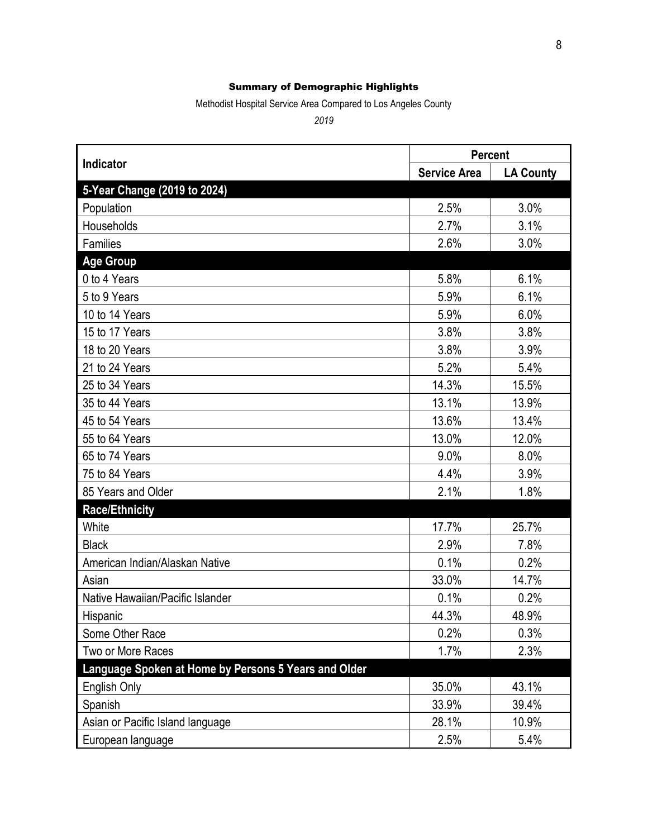#### Summary of Demographic Highlights

Methodist Hospital Service Area Compared to Los Angeles County

*2019*

|                                                      | <b>Percent</b>      |                  |  |
|------------------------------------------------------|---------------------|------------------|--|
| Indicator                                            | <b>Service Area</b> | <b>LA County</b> |  |
| 5-Year Change (2019 to 2024)                         |                     |                  |  |
| Population                                           | 2.5%                | 3.0%             |  |
| Households                                           | 2.7%                | 3.1%             |  |
| Families                                             | 2.6%                | 3.0%             |  |
| <b>Age Group</b>                                     |                     |                  |  |
| 0 to 4 Years                                         | 5.8%                | 6.1%             |  |
| 5 to 9 Years                                         | 5.9%                | 6.1%             |  |
| 10 to 14 Years                                       | 5.9%                | 6.0%             |  |
| 15 to 17 Years                                       | 3.8%                | 3.8%             |  |
| 18 to 20 Years                                       | 3.8%                | 3.9%             |  |
| 21 to 24 Years                                       | 5.2%                | 5.4%             |  |
| 25 to 34 Years                                       | 14.3%               | 15.5%            |  |
| 35 to 44 Years                                       | 13.1%               | 13.9%            |  |
| 45 to 54 Years                                       | 13.6%               | 13.4%            |  |
| 55 to 64 Years                                       | 13.0%               | 12.0%            |  |
| 65 to 74 Years                                       | 9.0%                | 8.0%             |  |
| 75 to 84 Years                                       | 4.4%                | 3.9%             |  |
| 85 Years and Older                                   | 2.1%                | 1.8%             |  |
| <b>Race/Ethnicity</b>                                |                     |                  |  |
| White                                                | 17.7%               | 25.7%            |  |
| <b>Black</b>                                         | 2.9%                | 7.8%             |  |
| American Indian/Alaskan Native                       | 0.1%                | 0.2%             |  |
| Asian                                                | 33.0%               | 14.7%            |  |
| Native Hawaiian/Pacific Islander                     | 0.1%                | 0.2%             |  |
| Hispanic                                             | 44.3%               | 48.9%            |  |
| Some Other Race                                      | 0.2%                | 0.3%             |  |
| Two or More Races                                    | 1.7%                | 2.3%             |  |
| Language Spoken at Home by Persons 5 Years and Older |                     |                  |  |
| English Only                                         | 35.0%               | 43.1%            |  |
| Spanish                                              | 33.9%               | 39.4%            |  |
| Asian or Pacific Island language                     | 28.1%               | 10.9%            |  |
| European language                                    | 2.5%                | 5.4%             |  |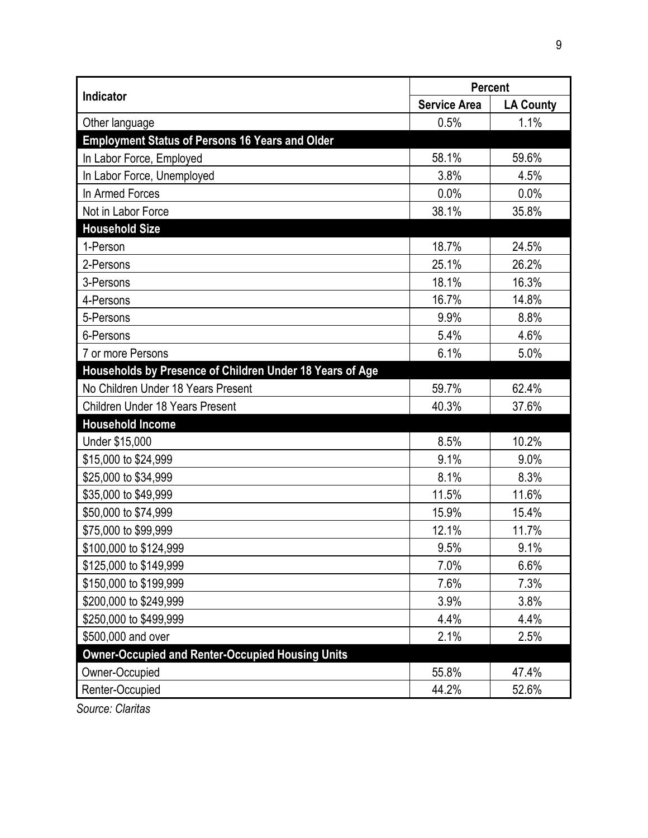|                                                          | Percent             |                  |  |  |
|----------------------------------------------------------|---------------------|------------------|--|--|
| Indicator                                                | <b>Service Area</b> | <b>LA County</b> |  |  |
| Other language                                           | 0.5%                | 1.1%             |  |  |
| <b>Employment Status of Persons 16 Years and Older</b>   |                     |                  |  |  |
| In Labor Force, Employed                                 | 58.1%               | 59.6%            |  |  |
| In Labor Force, Unemployed                               | 3.8%                | 4.5%             |  |  |
| In Armed Forces                                          | 0.0%                | 0.0%             |  |  |
| Not in Labor Force                                       | 38.1%               | 35.8%            |  |  |
| <b>Household Size</b>                                    |                     |                  |  |  |
| 1-Person                                                 | 18.7%               | 24.5%            |  |  |
| 2-Persons                                                | 25.1%               | 26.2%            |  |  |
| 3-Persons                                                | 18.1%               | 16.3%            |  |  |
| 4-Persons                                                | 16.7%               | 14.8%            |  |  |
| 5-Persons                                                | 9.9%                | 8.8%             |  |  |
| 6-Persons                                                | 5.4%                | 4.6%             |  |  |
| 7 or more Persons                                        | 6.1%                | 5.0%             |  |  |
| Households by Presence of Children Under 18 Years of Age |                     |                  |  |  |
| No Children Under 18 Years Present                       | 59.7%               | 62.4%            |  |  |
| Children Under 18 Years Present                          | 40.3%               | 37.6%            |  |  |
| <b>Household Income</b>                                  |                     |                  |  |  |
| Under \$15,000                                           | 8.5%                | 10.2%            |  |  |
| \$15,000 to \$24,999                                     | 9.1%                | 9.0%             |  |  |
| \$25,000 to \$34,999                                     | 8.1%                | 8.3%             |  |  |
| \$35,000 to \$49,999                                     | 11.5%               | 11.6%            |  |  |
| \$50,000 to \$74,999                                     | 15.9%               | 15.4%            |  |  |
| \$75,000 to \$99,999                                     | 12.1%               | 11.7%            |  |  |
| \$100,000 to \$124,999                                   | 9.5%                | 9.1%             |  |  |
| \$125,000 to \$149,999                                   | 7.0%                | 6.6%             |  |  |
| \$150,000 to \$199,999                                   | 7.6%                | 7.3%             |  |  |
| \$200,000 to \$249,999                                   | 3.9%                | 3.8%             |  |  |
| \$250,000 to \$499,999                                   | 4.4%                | 4.4%             |  |  |
| \$500,000 and over                                       | 2.1%                | 2.5%             |  |  |
| <b>Owner-Occupied and Renter-Occupied Housing Units</b>  |                     |                  |  |  |
| Owner-Occupied                                           | 55.8%               | 47.4%            |  |  |
| Renter-Occupied                                          | 44.2%               | 52.6%            |  |  |

*Source: Claritas*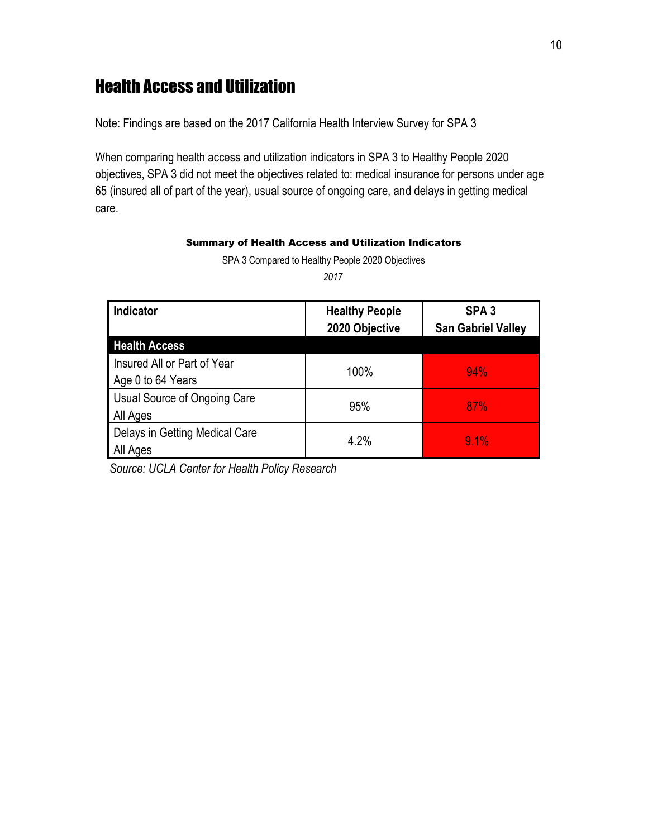# Health Access and Utilization

Note: Findings are based on the 2017 California Health Interview Survey for SPA 3

When comparing health access and utilization indicators in SPA 3 to Healthy People 2020 objectives, SPA 3 did not meet the objectives related to: medical insurance for persons under age 65 (insured all of part of the year), usual source of ongoing care, and delays in getting medical care.

#### Summary of Health Access and Utilization Indicators

SPA 3 Compared to Healthy People 2020 Objectives

*2017* 

| <b>Indicator</b>                                 | <b>Healthy People</b><br>2020 Objective | SPA <sub>3</sub><br><b>San Gabriel Valley</b> |
|--------------------------------------------------|-----------------------------------------|-----------------------------------------------|
| <b>Health Access</b>                             |                                         |                                               |
| Insured All or Part of Year<br>Age 0 to 64 Years | 100%                                    | 94%                                           |
| Usual Source of Ongoing Care<br>All Ages         | 95%                                     | 87%                                           |
| Delays in Getting Medical Care<br>All Ages       | 4.2%                                    | 9.1%                                          |

*Source: UCLA Center for Health Policy Research*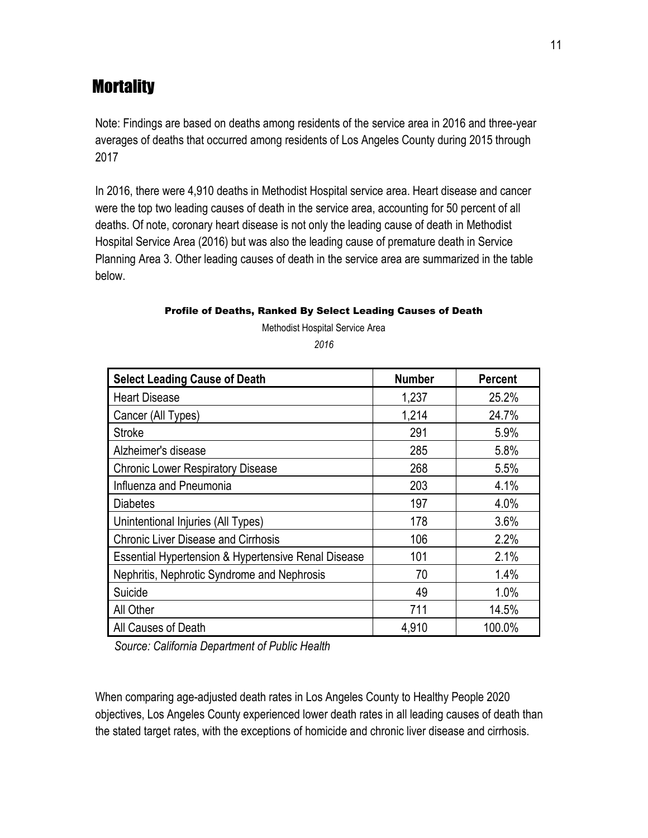# **Mortality**

Note: Findings are based on deaths among residents of the service area in 2016 and three-year averages of deaths that occurred among residents of Los Angeles County during 2015 through 2017

In 2016, there were 4,910 deaths in Methodist Hospital service area. Heart disease and cancer were the top two leading causes of death in the service area, accounting for 50 percent of all deaths. Of note, coronary heart disease is not only the leading cause of death in Methodist Hospital Service Area (2016) but was also the leading cause of premature death in Service Planning Area 3. Other leading causes of death in the service area are summarized in the table below.

#### Profile of Deaths, Ranked By Select Leading Causes of Death

Methodist Hospital Service Area *2016*

| <b>Select Leading Cause of Death</b>                | <b>Number</b> | <b>Percent</b> |
|-----------------------------------------------------|---------------|----------------|
| <b>Heart Disease</b>                                | 1,237         | 25.2%          |
| Cancer (All Types)                                  | 1,214         | 24.7%          |
| <b>Stroke</b>                                       | 291           | 5.9%           |
| Alzheimer's disease                                 | 285           | 5.8%           |
| <b>Chronic Lower Respiratory Disease</b>            | 268           | 5.5%           |
| Influenza and Pneumonia                             | 203           | 4.1%           |
| <b>Diabetes</b>                                     | 197           | 4.0%           |
| Unintentional Injuries (All Types)                  | 178           | 3.6%           |
| <b>Chronic Liver Disease and Cirrhosis</b>          | 106           | 2.2%           |
| Essential Hypertension & Hypertensive Renal Disease | 101           | 2.1%           |
| Nephritis, Nephrotic Syndrome and Nephrosis         | 70            | 1.4%           |
| Suicide                                             | 49            | 1.0%           |
| All Other                                           | 711           | 14.5%          |
| All Causes of Death                                 | 4,910         | 100.0%         |

*Source: California Department of Public Health*

When comparing age-adjusted death rates in Los Angeles County to Healthy People 2020 objectives, Los Angeles County experienced lower death rates in all leading causes of death than the stated target rates, with the exceptions of homicide and chronic liver disease and cirrhosis.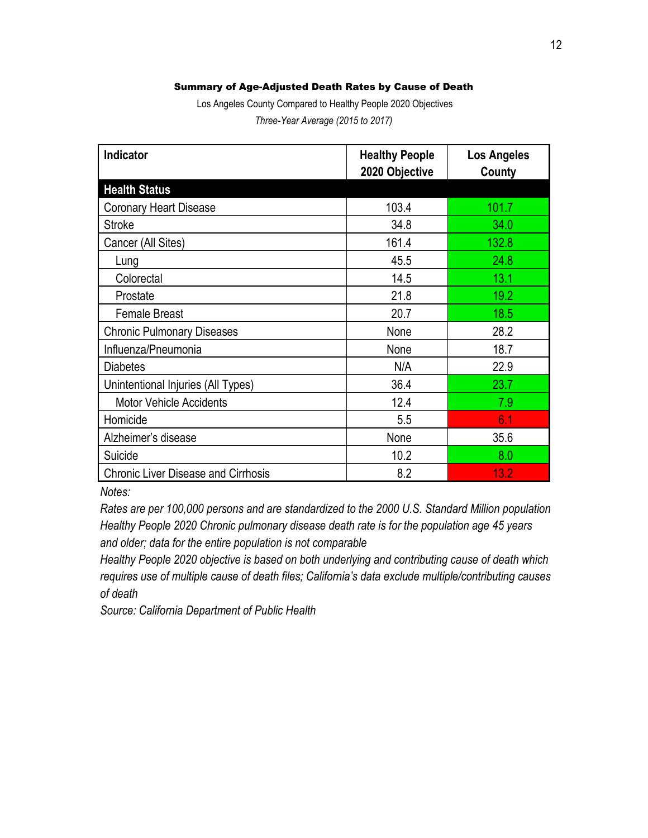#### Summary of Age-Adjusted Death Rates by Cause of Death

Los Angeles County Compared to Healthy People 2020 Objectives *Three-Year Average (2015 to 2017)*

| Indicator                                  | <b>Healthy People</b><br>2020 Objective | <b>Los Angeles</b><br>County |
|--------------------------------------------|-----------------------------------------|------------------------------|
| <b>Health Status</b>                       |                                         |                              |
| <b>Coronary Heart Disease</b>              | 103.4                                   | 101.7                        |
| <b>Stroke</b>                              | 34.8                                    | 34.0                         |
| Cancer (All Sites)                         | 161.4                                   | 132.8                        |
| Lung                                       | 45.5                                    | 24.8                         |
| Colorectal                                 | 14.5                                    | 13.1                         |
| Prostate                                   | 21.8                                    | 19.2                         |
| <b>Female Breast</b>                       | 20.7                                    | 18.5                         |
| <b>Chronic Pulmonary Diseases</b>          | None                                    | 28.2                         |
| Influenza/Pneumonia                        | None                                    | 18.7                         |
| <b>Diabetes</b>                            | N/A                                     | 22.9                         |
| Unintentional Injuries (All Types)         | 36.4                                    | 23.7                         |
| <b>Motor Vehicle Accidents</b>             | 12.4                                    | 7.9                          |
| Homicide                                   | 5.5                                     | 6.1                          |
| Alzheimer's disease                        | None                                    | 35.6                         |
| Suicide                                    | 10.2                                    | 8.0                          |
| <b>Chronic Liver Disease and Cirrhosis</b> | 8.2                                     | 13.2                         |

*Notes:* 

*Rates are per 100,000 persons and are standardized to the 2000 U.S. Standard Million population Healthy People 2020 Chronic pulmonary disease death rate is for the population age 45 years and older; data for the entire population is not comparable*

*Healthy People 2020 objective is based on both underlying and contributing cause of death which requires use of multiple cause of death files; California's data exclude multiple/contributing causes of death* 

*Source: California Department of Public Health*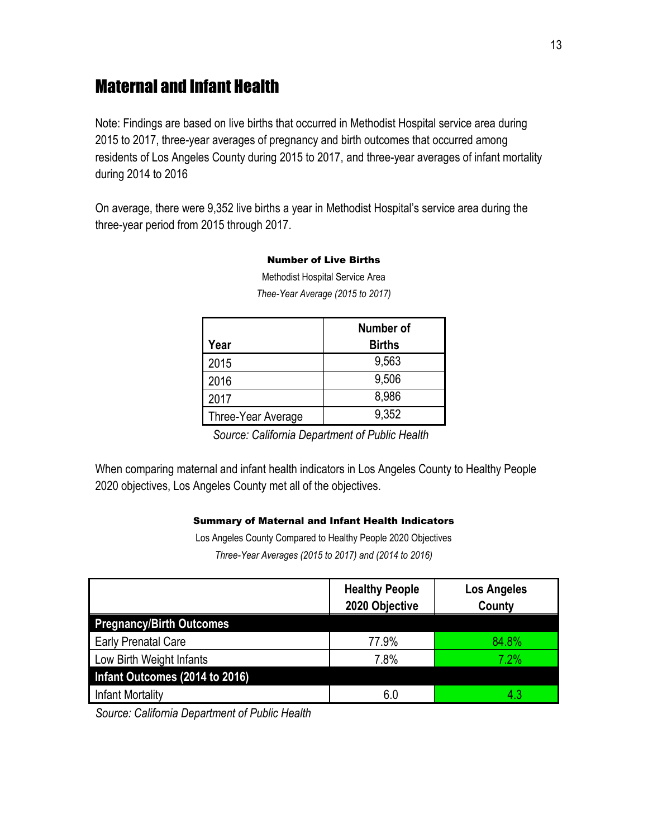# Maternal and Infant Health

Note: Findings are based on live births that occurred in Methodist Hospital service area during 2015 to 2017, three-year averages of pregnancy and birth outcomes that occurred among residents of Los Angeles County during 2015 to 2017, and three-year averages of infant mortality during 2014 to 2016

On average, there were 9,352 live births a year in Methodist Hospital's service area during the three-year period from 2015 through 2017.

| Year               | Number of<br><b>Births</b> |
|--------------------|----------------------------|
| 2015               | 9,563                      |
| 2016               | 9,506                      |
| 2017               | 8,986                      |
| Three-Year Average | 9,352                      |

Number of Live Births Methodist Hospital Service Area

*Thee-Year Average (2015 to 2017)*

*Source: California Department of Public Health*

When comparing maternal and infant health indicators in Los Angeles County to Healthy People 2020 objectives, Los Angeles County met all of the objectives.

#### Summary of Maternal and Infant Health Indicators

Los Angeles County Compared to Healthy People 2020 Objectives *Three-Year Averages (2015 to 2017) and (2014 to 2016)*

|                                 | <b>Healthy People</b><br>2020 Objective | <b>Los Angeles</b><br>County |
|---------------------------------|-----------------------------------------|------------------------------|
| <b>Pregnancy/Birth Outcomes</b> |                                         |                              |
| <b>Early Prenatal Care</b>      | 77.9%                                   | 84.8%                        |
| Low Birth Weight Infants        | 7.8%                                    | 7.2%                         |
| Infant Outcomes (2014 to 2016)  |                                         |                              |
| <b>Infant Mortality</b>         | 6.0                                     | 4.3                          |

*Source: California Department of Public Health*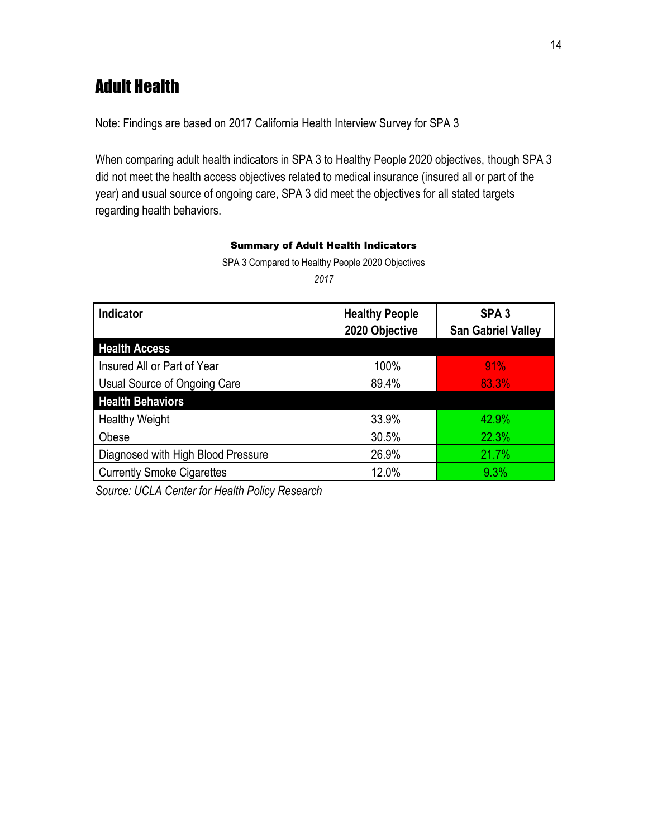# Adult Health

Note: Findings are based on 2017 California Health Interview Survey for SPA 3

When comparing adult health indicators in SPA 3 to Healthy People 2020 objectives, though SPA 3 did not meet the health access objectives related to medical insurance (insured all or part of the year) and usual source of ongoing care, SPA 3 did meet the objectives for all stated targets regarding health behaviors.

#### Summary of Adult Health Indicators

SPA 3 Compared to Healthy People 2020 Objectives

*2017*

| <b>Indicator</b>                   | <b>Healthy People</b><br>2020 Objective | SPA <sub>3</sub><br><b>San Gabriel Valley</b> |
|------------------------------------|-----------------------------------------|-----------------------------------------------|
| <b>Health Access</b>               |                                         |                                               |
| Insured All or Part of Year        | 100%                                    | 91%                                           |
| Usual Source of Ongoing Care       | 89.4%                                   | 83.3%                                         |
| <b>Health Behaviors</b>            |                                         |                                               |
| <b>Healthy Weight</b>              | 33.9%                                   | 42.9%                                         |
| Obese                              | 30.5%                                   | 22.3%                                         |
| Diagnosed with High Blood Pressure | 26.9%                                   | 21.7%                                         |
| <b>Currently Smoke Cigarettes</b>  | 12.0%                                   | 9.3%                                          |

*Source: UCLA Center for Health Policy Research*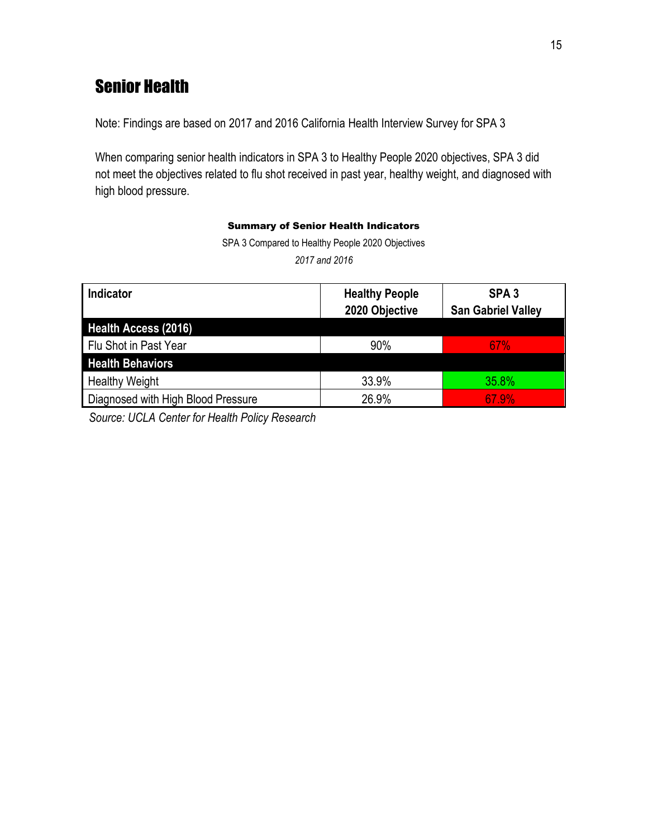# Senior Health

Note: Findings are based on 2017 and 2016 California Health Interview Survey for SPA 3

When comparing senior health indicators in SPA 3 to Healthy People 2020 objectives, SPA 3 did not meet the objectives related to flu shot received in past year, healthy weight, and diagnosed with high blood pressure.

#### Summary of Senior Health Indicators

SPA 3 Compared to Healthy People 2020 Objectives *2017 and 2016*

| Indicator                          | <b>Healthy People</b><br>2020 Objective | SPA <sub>3</sub><br><b>San Gabriel Valley</b> |
|------------------------------------|-----------------------------------------|-----------------------------------------------|
| Health Access (2016)               |                                         |                                               |
| Flu Shot in Past Year              | 90%                                     | <b>67%</b>                                    |
| <b>Health Behaviors</b>            |                                         |                                               |
| <b>Healthy Weight</b>              | 33.9%                                   | 35.8%                                         |
| Diagnosed with High Blood Pressure | 26.9%                                   | 67.9%                                         |

*Source: UCLA Center for Health Policy Research*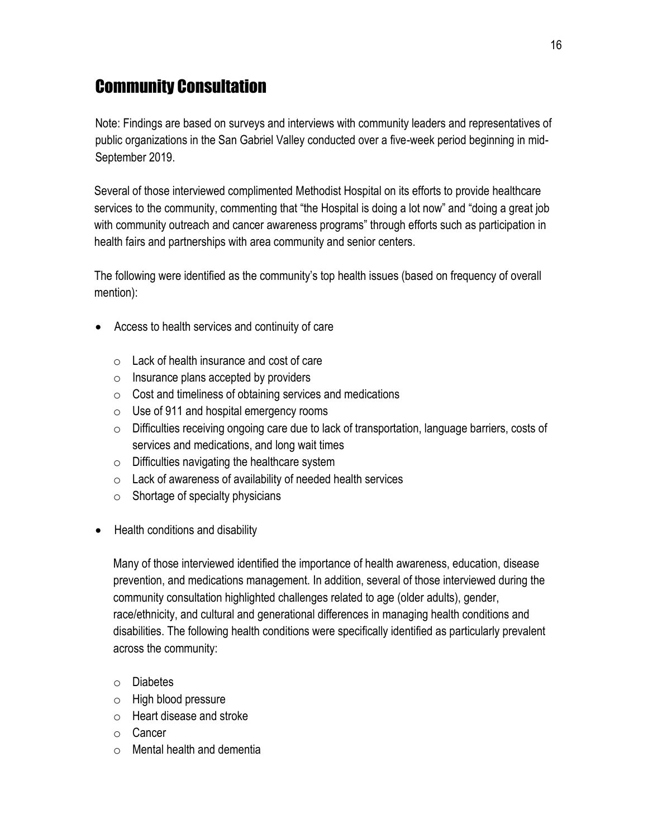# Community Consultation

Note: Findings are based on surveys and interviews with community leaders and representatives of public organizations in the San Gabriel Valley conducted over a five-week period beginning in mid-September 2019.

Several of those interviewed complimented Methodist Hospital on its efforts to provide healthcare services to the community, commenting that "the Hospital is doing a lot now" and "doing a great job with community outreach and cancer awareness programs" through efforts such as participation in health fairs and partnerships with area community and senior centers.

The following were identified as the community's top health issues (based on frequency of overall mention):

- Access to health services and continuity of care
	- o Lack of health insurance and cost of care
	- $\circ$  Insurance plans accepted by providers
	- $\circ$  Cost and timeliness of obtaining services and medications
	- $\circ$  Use of 911 and hospital emergency rooms
	- o Difficulties receiving ongoing care due to lack of transportation, language barriers, costs of services and medications, and long wait times
	- $\circ$  Difficulties navigating the healthcare system
	- $\circ$  Lack of awareness of availability of needed health services
	- $\circ$  Shortage of specialty physicians
- Health conditions and disability

Many of those interviewed identified the importance of health awareness, education, disease prevention, and medications management. In addition, several of those interviewed during the community consultation highlighted challenges related to age (older adults), gender, race/ethnicity, and cultural and generational differences in managing health conditions and disabilities. The following health conditions were specifically identified as particularly prevalent across the community:

- o Diabetes
- o High blood pressure
- o Heart disease and stroke
- o Cancer
- $\circ$  Mental health and dementia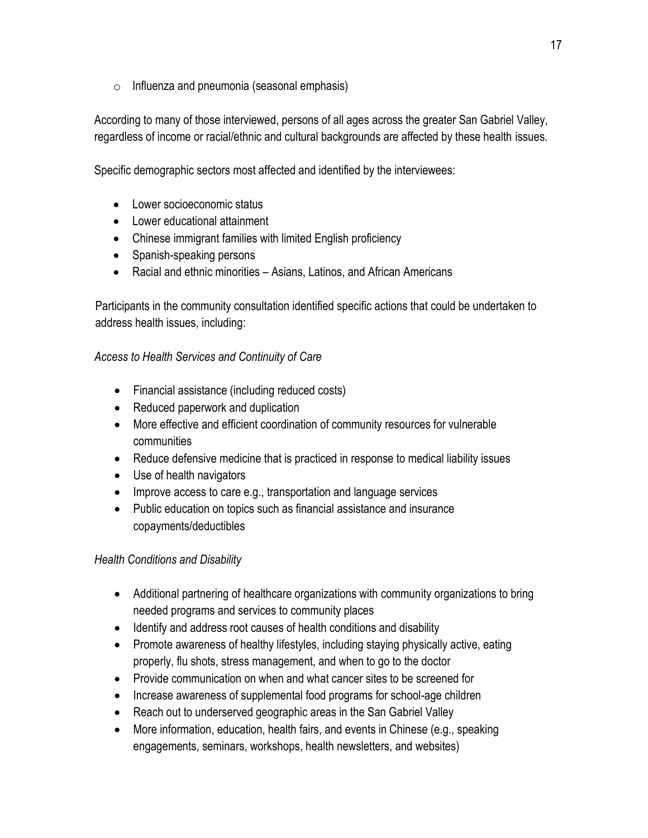$\circ$  Influenza and pneumonia (seasonal emphasis)

According to many of those interviewed, persons of all ages across the greater San Gabriel Valley, regardless of income or racial/ethnic and cultural backgrounds are affected by these health issues.

Specific demographic sectors most affected and identified by the interviewees:

- Lower socioeconomic status
- Lower educational attainment
- Chinese immigrant families with limited English proficiency
- Spanish-speaking persons
- Racial and ethnic minorities Asians, Latinos, and African Americans

Participants in the community consultation identified specific actions that could be undertaken to address health issues, including:

### *Access to Health Services and Continuity of Care*

- Financial assistance (including reduced costs)
- Reduced paperwork and duplication
- More effective and efficient coordination of community resources for vulnerable communities
- Reduce defensive medicine that is practiced in response to medical liability issues
- Use of health navigators
- Improve access to care e.g., transportation and language services
- Public education on topics such as financial assistance and insurance copayments/deductibles

### *Health Conditions and Disability*

- Additional partnering of healthcare organizations with community organizations to bring needed programs and services to community places
- Identify and address root causes of health conditions and disability
- Promote awareness of healthy lifestyles, including staying physically active, eating properly, flu shots, stress management, and when to go to the doctor
- Provide communication on when and what cancer sites to be screened for
- Increase awareness of supplemental food programs for school-age children
- Reach out to underserved geographic areas in the San Gabriel Valley
- More information, education, health fairs, and events in Chinese (e.g., speaking engagements, seminars, workshops, health newsletters, and websites)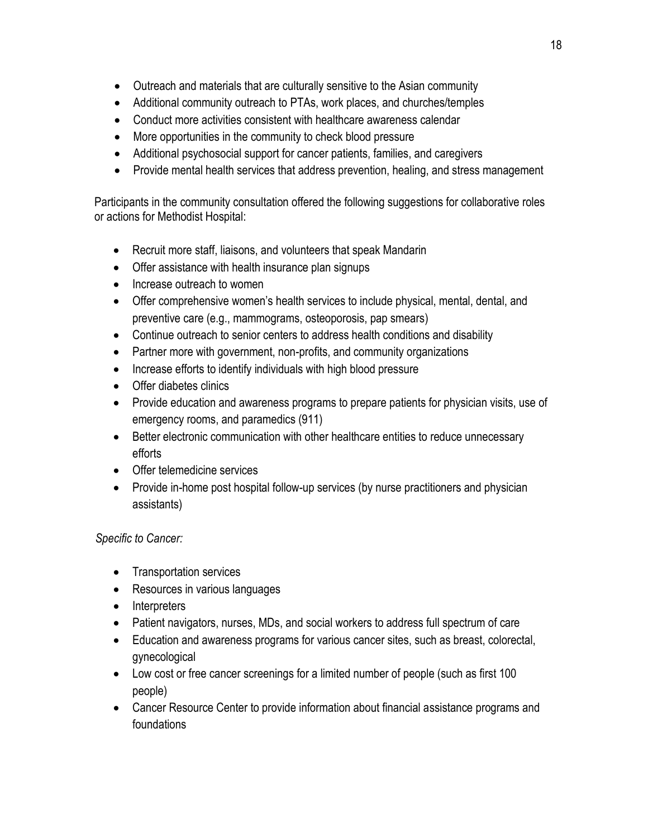- Outreach and materials that are culturally sensitive to the Asian community
- Additional community outreach to PTAs, work places, and churches/temples
- Conduct more activities consistent with healthcare awareness calendar
- More opportunities in the community to check blood pressure
- Additional psychosocial support for cancer patients, families, and caregivers
- Provide mental health services that address prevention, healing, and stress management

Participants in the community consultation offered the following suggestions for collaborative roles or actions for Methodist Hospital:

- Recruit more staff, liaisons, and volunteers that speak Mandarin
- Offer assistance with health insurance plan signups
- Increase outreach to women
- Offer comprehensive women's health services to include physical, mental, dental, and preventive care (e.g., mammograms, osteoporosis, pap smears)
- Continue outreach to senior centers to address health conditions and disability
- Partner more with government, non-profits, and community organizations
- Increase efforts to identify individuals with high blood pressure
- Offer diabetes clinics
- Provide education and awareness programs to prepare patients for physician visits, use of emergency rooms, and paramedics (911)
- Better electronic communication with other healthcare entities to reduce unnecessary efforts
- Offer telemedicine services
- Provide in-home post hospital follow-up services (by nurse practitioners and physician assistants)

### *Specific to Cancer:*

- Transportation services
- Resources in various languages
- Interpreters
- Patient navigators, nurses, MDs, and social workers to address full spectrum of care
- Education and awareness programs for various cancer sites, such as breast, colorectal, gynecological
- Low cost or free cancer screenings for a limited number of people (such as first 100 people)
- Cancer Resource Center to provide information about financial assistance programs and foundations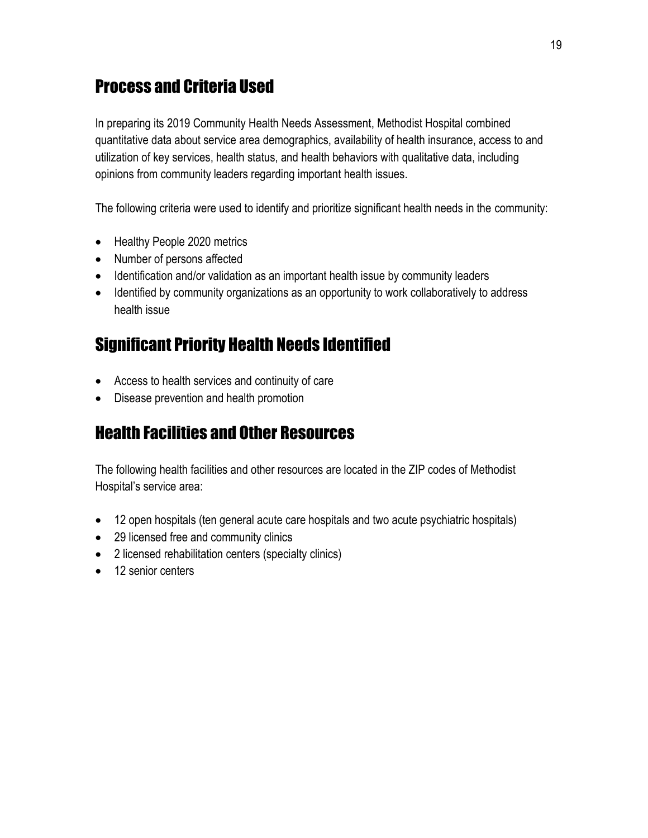# Process and Criteria Used

In preparing its 2019 Community Health Needs Assessment, Methodist Hospital combined quantitative data about service area demographics, availability of health insurance, access to and utilization of key services, health status, and health behaviors with qualitative data, including opinions from community leaders regarding important health issues.

The following criteria were used to identify and prioritize significant health needs in the community:

- Healthy People 2020 metrics
- Number of persons affected
- Identification and/or validation as an important health issue by community leaders
- Identified by community organizations as an opportunity to work collaboratively to address health issue

# Significant Priority Health Needs Identified

- Access to health services and continuity of care
- Disease prevention and health promotion

# Health Facilities and Other Resources

The following health facilities and other resources are located in the ZIP codes of Methodist Hospital's service area:

- 12 open hospitals (ten general acute care hospitals and two acute psychiatric hospitals)
- 29 licensed free and community clinics
- 2 licensed rehabilitation centers (specialty clinics)
- 12 senior centers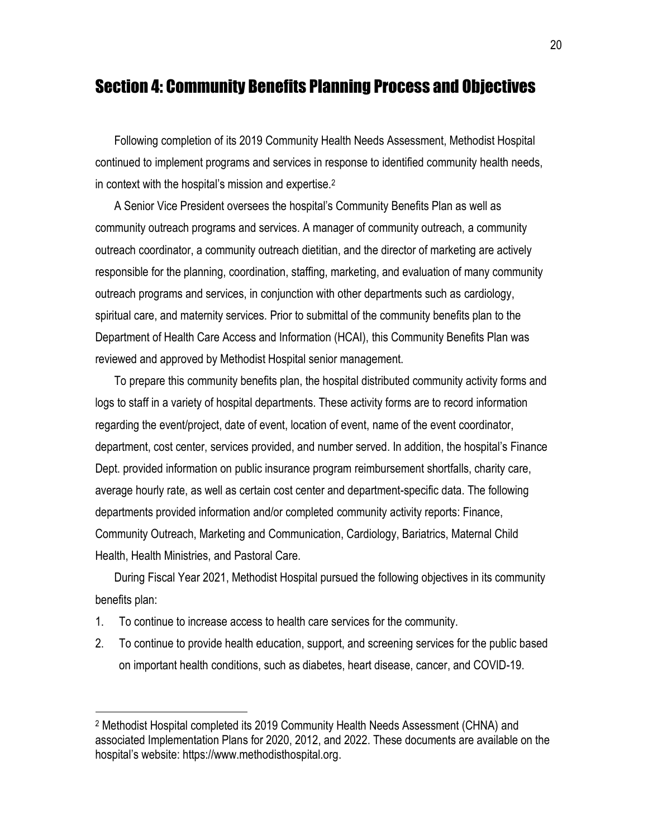## Section 4: Community Benefits Planning Process and Objectives

Following completion of its 2019 Community Health Needs Assessment, Methodist Hospital continued to implement programs and services in response to identified community health needs, in context with the hospital's mission and expertise.<sup>2</sup>

A Senior Vice President oversees the hospital's Community Benefits Plan as well as community outreach programs and services. A manager of community outreach, a community outreach coordinator, a community outreach dietitian, and the director of marketing are actively responsible for the planning, coordination, staffing, marketing, and evaluation of many community outreach programs and services, in conjunction with other departments such as cardiology, spiritual care, and maternity services. Prior to submittal of the community benefits plan to the Department of Health Care Access and Information (HCAI), this Community Benefits Plan was reviewed and approved by Methodist Hospital senior management.

To prepare this community benefits plan, the hospital distributed community activity forms and logs to staff in a variety of hospital departments. These activity forms are to record information regarding the event/project, date of event, location of event, name of the event coordinator, department, cost center, services provided, and number served. In addition, the hospital's Finance Dept. provided information on public insurance program reimbursement shortfalls, charity care, average hourly rate, as well as certain cost center and department-specific data. The following departments provided information and/or completed community activity reports: Finance, Community Outreach, Marketing and Communication, Cardiology, Bariatrics, Maternal Child Health, Health Ministries, and Pastoral Care.

During Fiscal Year 2021, Methodist Hospital pursued the following objectives in its community benefits plan:

1. To continue to increase access to health care services for the community.

 $\overline{a}$ 

2. To continue to provide health education, support, and screening services for the public based on important health conditions, such as diabetes, heart disease, cancer, and COVID-19.

<sup>2</sup> Methodist Hospital completed its 2019 Community Health Needs Assessment (CHNA) and associated Implementation Plans for 2020, 2012, and 2022. These documents are available on the hospital's website: https://www.methodisthospital.org.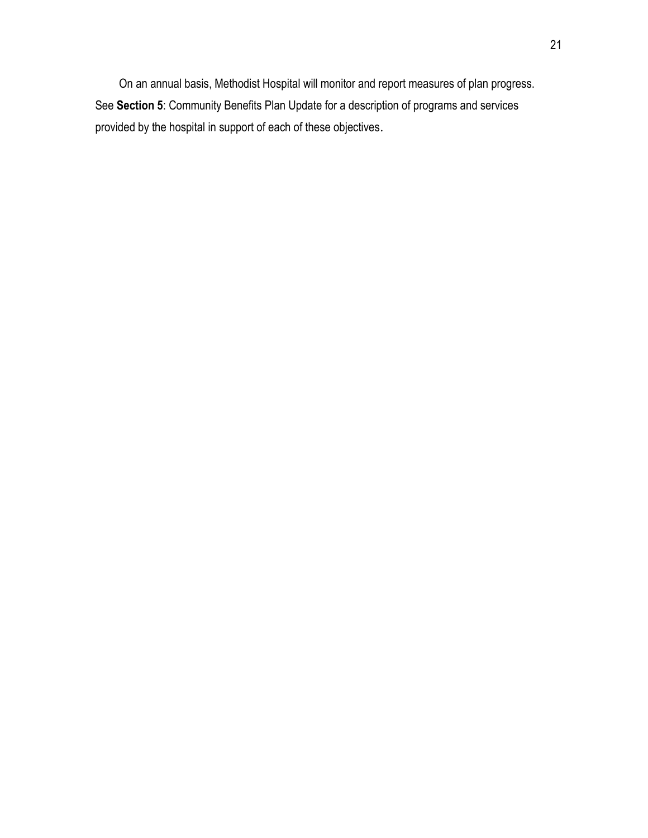On an annual basis, Methodist Hospital will monitor and report measures of plan progress. See **Section 5**: Community Benefits Plan Update for a description of programs and services provided by the hospital in support of each of these objectives.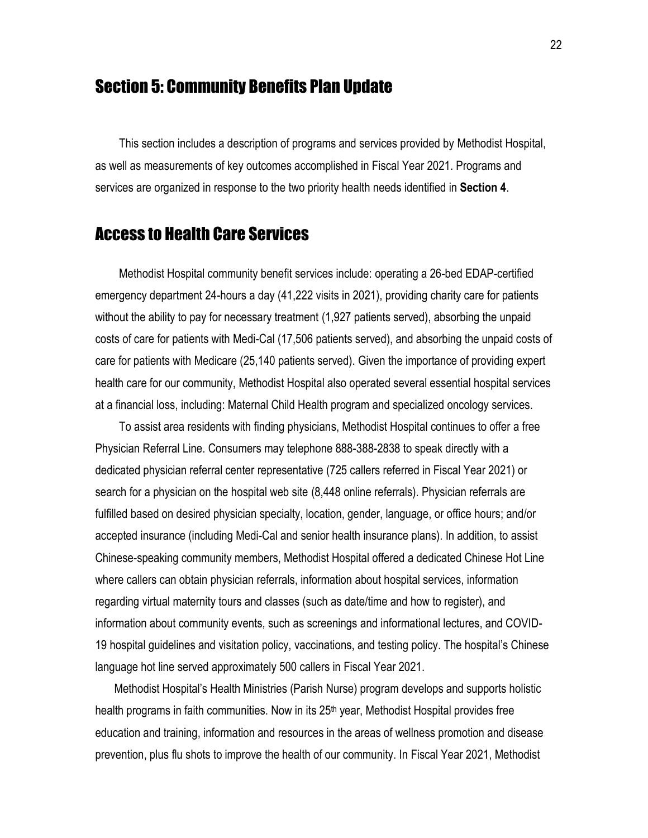# Section 5: Community Benefits Plan Update

This section includes a description of programs and services provided by Methodist Hospital, as well as measurements of key outcomes accomplished in Fiscal Year 2021. Programs and services are organized in response to the two priority health needs identified in **Section 4**.

# Access to Health Care Services

Methodist Hospital community benefit services include: operating a 26-bed EDAP-certified emergency department 24-hours a day (41,222 visits in 2021), providing charity care for patients without the ability to pay for necessary treatment (1,927 patients served), absorbing the unpaid costs of care for patients with Medi-Cal (17,506 patients served), and absorbing the unpaid costs of care for patients with Medicare (25,140 patients served). Given the importance of providing expert health care for our community, Methodist Hospital also operated several essential hospital services at a financial loss, including: Maternal Child Health program and specialized oncology services.

To assist area residents with finding physicians, Methodist Hospital continues to offer a free Physician Referral Line. Consumers may telephone 888-388-2838 to speak directly with a dedicated physician referral center representative (725 callers referred in Fiscal Year 2021) or search for a physician on the hospital web site (8,448 online referrals). Physician referrals are fulfilled based on desired physician specialty, location, gender, language, or office hours; and/or accepted insurance (including Medi-Cal and senior health insurance plans). In addition, to assist Chinese-speaking community members, Methodist Hospital offered a dedicated Chinese Hot Line where callers can obtain physician referrals, information about hospital services, information regarding virtual maternity tours and classes (such as date/time and how to register), and information about community events, such as screenings and informational lectures, and COVID-19 hospital guidelines and visitation policy, vaccinations, and testing policy. The hospital's Chinese language hot line served approximately 500 callers in Fiscal Year 2021.

Methodist Hospital's Health Ministries (Parish Nurse) program develops and supports holistic health programs in faith communities. Now in its 25<sup>th</sup> year, Methodist Hospital provides free education and training, information and resources in the areas of wellness promotion and disease prevention, plus flu shots to improve the health of our community. In Fiscal Year 2021, Methodist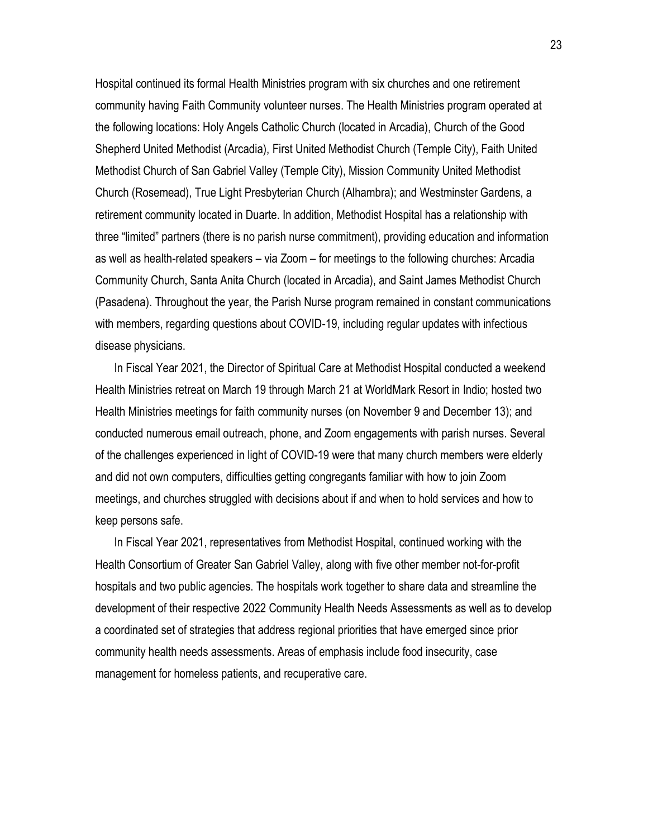Hospital continued its formal Health Ministries program with six churches and one retirement community having Faith Community volunteer nurses. The Health Ministries program operated at the following locations: Holy Angels Catholic Church (located in Arcadia), Church of the Good Shepherd United Methodist (Arcadia), First United Methodist Church (Temple City), Faith United Methodist Church of San Gabriel Valley (Temple City), Mission Community United Methodist Church (Rosemead), True Light Presbyterian Church (Alhambra); and Westminster Gardens, a retirement community located in Duarte. In addition, Methodist Hospital has a relationship with three "limited" partners (there is no parish nurse commitment), providing education and information as well as health-related speakers – via Zoom – for meetings to the following churches: Arcadia Community Church, Santa Anita Church (located in Arcadia), and Saint James Methodist Church (Pasadena). Throughout the year, the Parish Nurse program remained in constant communications with members, regarding questions about COVID-19, including regular updates with infectious disease physicians.

In Fiscal Year 2021, the Director of Spiritual Care at Methodist Hospital conducted a weekend Health Ministries retreat on March 19 through March 21 at WorldMark Resort in Indio; hosted two Health Ministries meetings for faith community nurses (on November 9 and December 13); and conducted numerous email outreach, phone, and Zoom engagements with parish nurses. Several of the challenges experienced in light of COVID-19 were that many church members were elderly and did not own computers, difficulties getting congregants familiar with how to join Zoom meetings, and churches struggled with decisions about if and when to hold services and how to keep persons safe.

In Fiscal Year 2021, representatives from Methodist Hospital, continued working with the Health Consortium of Greater San Gabriel Valley, along with five other member not-for-profit hospitals and two public agencies. The hospitals work together to share data and streamline the development of their respective 2022 Community Health Needs Assessments as well as to develop a coordinated set of strategies that address regional priorities that have emerged since prior community health needs assessments. Areas of emphasis include food insecurity, case management for homeless patients, and recuperative care.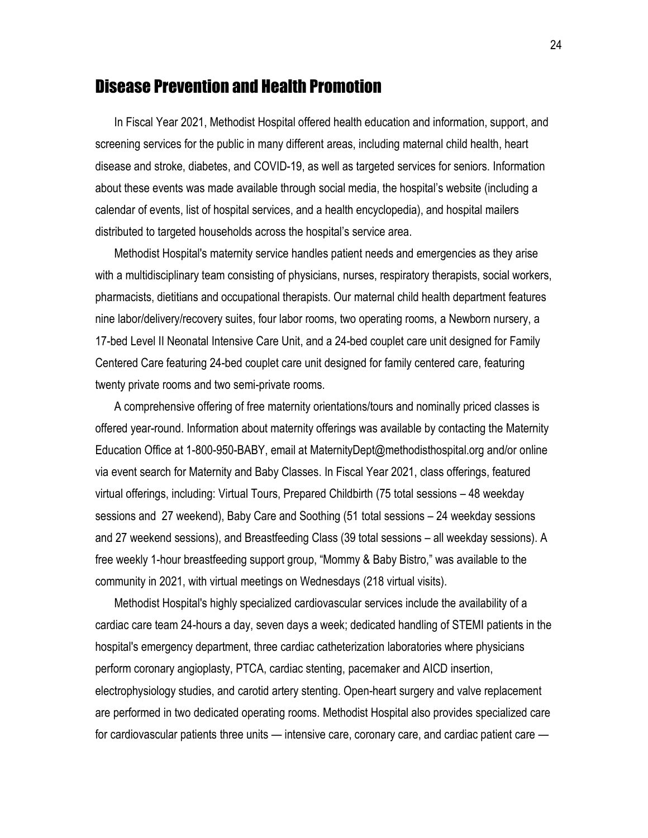### Disease Prevention and Health Promotion

In Fiscal Year 2021, Methodist Hospital offered health education and information, support, and screening services for the public in many different areas, including maternal child health, heart disease and stroke, diabetes, and COVID-19, as well as targeted services for seniors. Information about these events was made available through social media, the hospital's website (including a calendar of events, list of hospital services, and a health encyclopedia), and hospital mailers distributed to targeted households across the hospital's service area.

Methodist Hospital's maternity service handles patient needs and emergencies as they arise with a multidisciplinary team consisting of physicians, nurses, respiratory therapists, social workers, pharmacists, dietitians and occupational therapists. Our maternal child health department features nine labor/delivery/recovery suites, four labor rooms, two operating rooms, a Newborn nursery, a 17-bed Level II Neonatal Intensive Care Unit, and a 24-bed couplet care unit designed for Family Centered Care featuring 24-bed couplet care unit designed for family centered care, featuring twenty private rooms and two semi-private rooms.

A comprehensive offering of free maternity orientations/tours and nominally priced classes is offered year-round. Information about maternity offerings was available by contacting the Maternity Education Office at 1-800-950-BABY, email at MaternityDept@methodisthospital.org and/or online via event search for Maternity and Baby Classes. In Fiscal Year 2021, class offerings, featured virtual offerings, including: Virtual Tours, Prepared Childbirth (75 total sessions – 48 weekday sessions and 27 weekend), Baby Care and Soothing (51 total sessions – 24 weekday sessions and 27 weekend sessions), and Breastfeeding Class (39 total sessions – all weekday sessions). A free weekly 1-hour breastfeeding support group, "Mommy & Baby Bistro," was available to the community in 2021, with virtual meetings on Wednesdays (218 virtual visits).

Methodist Hospital's highly specialized cardiovascular services include the availability of a cardiac care team 24-hours a day, seven days a week; dedicated handling of STEMI patients in the hospital's emergency department, three cardiac catheterization laboratories where physicians perform coronary angioplasty, PTCA, cardiac stenting, pacemaker and AICD insertion, electrophysiology studies, and carotid artery stenting. Open-heart surgery and valve replacement are performed in two dedicated operating rooms. Methodist Hospital also provides specialized care for cardiovascular patients three units — intensive care, coronary care, and cardiac patient care —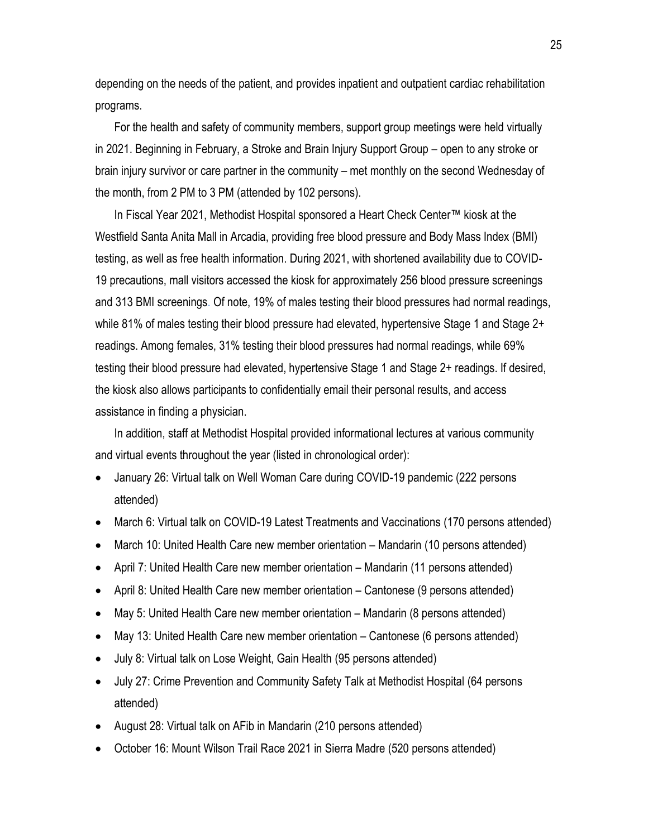depending on the needs of the patient, and provides inpatient and outpatient cardiac rehabilitation programs.

For the health and safety of community members, support group meetings were held virtually in 2021. Beginning in February, a Stroke and Brain Injury Support Group – open to any stroke or brain injury survivor or care partner in the community – met monthly on the second Wednesday of the month, from 2 PM to 3 PM (attended by 102 persons).

In Fiscal Year 2021, Methodist Hospital sponsored a Heart Check Center™ kiosk at the Westfield Santa Anita Mall in Arcadia, providing free blood pressure and Body Mass Index (BMI) testing, as well as free health information. During 2021, with shortened availability due to COVID-19 precautions, mall visitors accessed the kiosk for approximately 256 blood pressure screenings and 313 BMI screenings. Of note, 19% of males testing their blood pressures had normal readings, while 81% of males testing their blood pressure had elevated, hypertensive Stage 1 and Stage 2+ readings. Among females, 31% testing their blood pressures had normal readings, while 69% testing their blood pressure had elevated, hypertensive Stage 1 and Stage 2+ readings. If desired, the kiosk also allows participants to confidentially email their personal results, and access assistance in finding a physician.

In addition, staff at Methodist Hospital provided informational lectures at various community and virtual events throughout the year (listed in chronological order):

- January 26: Virtual talk on Well Woman Care during COVID-19 pandemic (222 persons attended)
- March 6: Virtual talk on COVID-19 Latest Treatments and Vaccinations (170 persons attended)
- March 10: United Health Care new member orientation Mandarin (10 persons attended)
- April 7: United Health Care new member orientation Mandarin (11 persons attended)
- April 8: United Health Care new member orientation Cantonese (9 persons attended)
- May 5: United Health Care new member orientation Mandarin (8 persons attended)
- May 13: United Health Care new member orientation Cantonese (6 persons attended)
- July 8: Virtual talk on Lose Weight, Gain Health (95 persons attended)
- July 27: Crime Prevention and Community Safety Talk at Methodist Hospital (64 persons attended)
- August 28: Virtual talk on AFib in Mandarin (210 persons attended)
- October 16: Mount Wilson Trail Race 2021 in Sierra Madre (520 persons attended)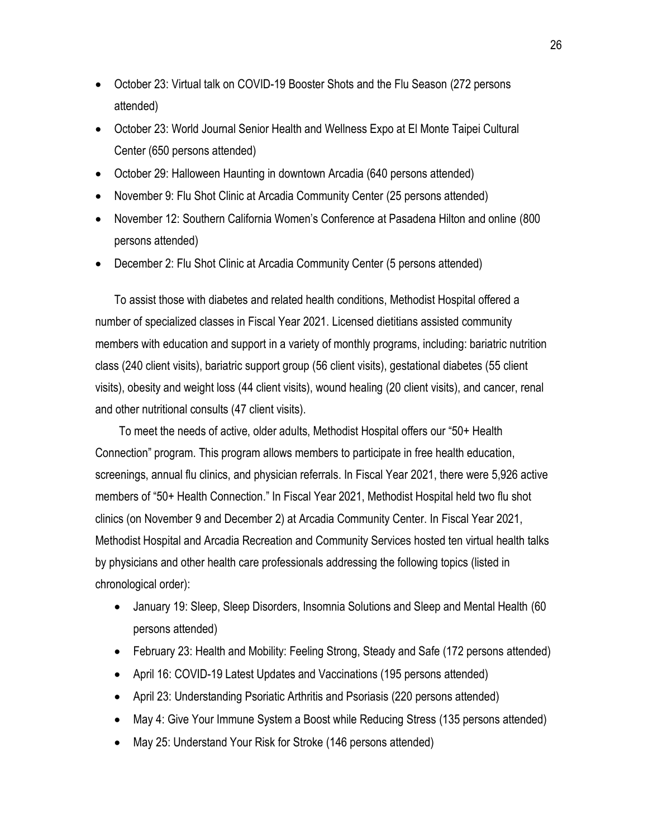- October 23: Virtual talk on COVID-19 Booster Shots and the Flu Season (272 persons attended)
- October 23: World Journal Senior Health and Wellness Expo at El Monte Taipei Cultural Center (650 persons attended)
- October 29: Halloween Haunting in downtown Arcadia (640 persons attended)
- November 9: Flu Shot Clinic at Arcadia Community Center (25 persons attended)
- November 12: Southern California Women's Conference at Pasadena Hilton and online (800 persons attended)
- December 2: Flu Shot Clinic at Arcadia Community Center (5 persons attended)

To assist those with diabetes and related health conditions, Methodist Hospital offered a number of specialized classes in Fiscal Year 2021. Licensed dietitians assisted community members with education and support in a variety of monthly programs, including: bariatric nutrition class (240 client visits), bariatric support group (56 client visits), gestational diabetes (55 client visits), obesity and weight loss (44 client visits), wound healing (20 client visits), and cancer, renal and other nutritional consults (47 client visits).

To meet the needs of active, older adults, Methodist Hospital offers our "50+ Health Connection" program. This program allows members to participate in free health education, screenings, annual flu clinics, and physician referrals. In Fiscal Year 2021, there were 5,926 active members of "50+ Health Connection." In Fiscal Year 2021, Methodist Hospital held two flu shot clinics (on November 9 and December 2) at Arcadia Community Center. In Fiscal Year 2021, Methodist Hospital and Arcadia Recreation and Community Services hosted ten virtual health talks by physicians and other health care professionals addressing the following topics (listed in chronological order):

- January 19: Sleep, Sleep Disorders, Insomnia Solutions and Sleep and Mental Health (60 persons attended)
- February 23: Health and Mobility: Feeling Strong, Steady and Safe (172 persons attended)
- April 16: COVID-19 Latest Updates and Vaccinations (195 persons attended)
- April 23: Understanding Psoriatic Arthritis and Psoriasis (220 persons attended)
- May 4: Give Your Immune System a Boost while Reducing Stress (135 persons attended)
- May 25: Understand Your Risk for Stroke (146 persons attended)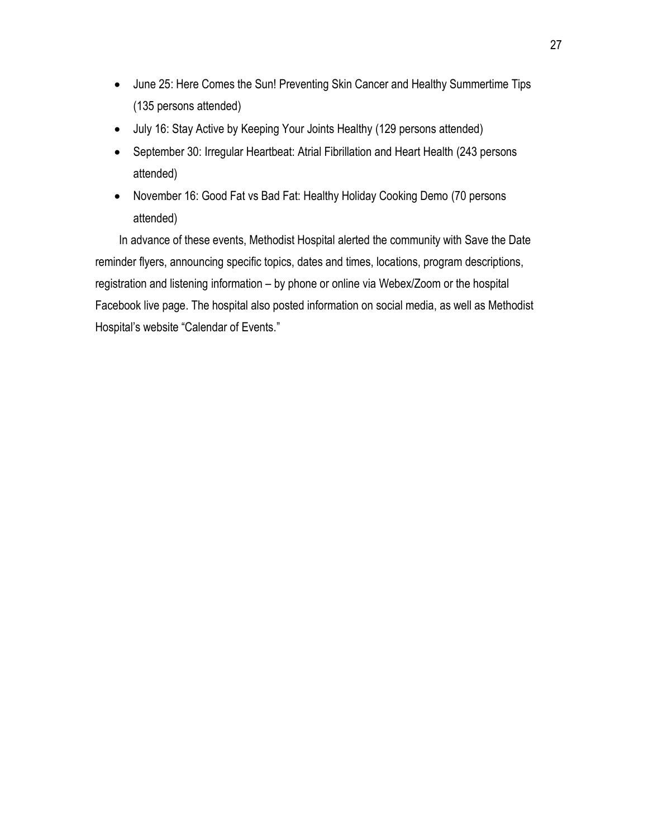- June 25: Here Comes the Sun! Preventing Skin Cancer and Healthy Summertime Tips (135 persons attended)
- July 16: Stay Active by Keeping Your Joints Healthy (129 persons attended)
- September 30: Irregular Heartbeat: Atrial Fibrillation and Heart Health (243 persons attended)
- November 16: Good Fat vs Bad Fat: Healthy Holiday Cooking Demo (70 persons attended)

In advance of these events, Methodist Hospital alerted the community with Save the Date reminder flyers, announcing specific topics, dates and times, locations, program descriptions, registration and listening information – by phone or online via Webex/Zoom or the hospital Facebook live page. The hospital also posted information on social media, as well as Methodist Hospital's website "Calendar of Events."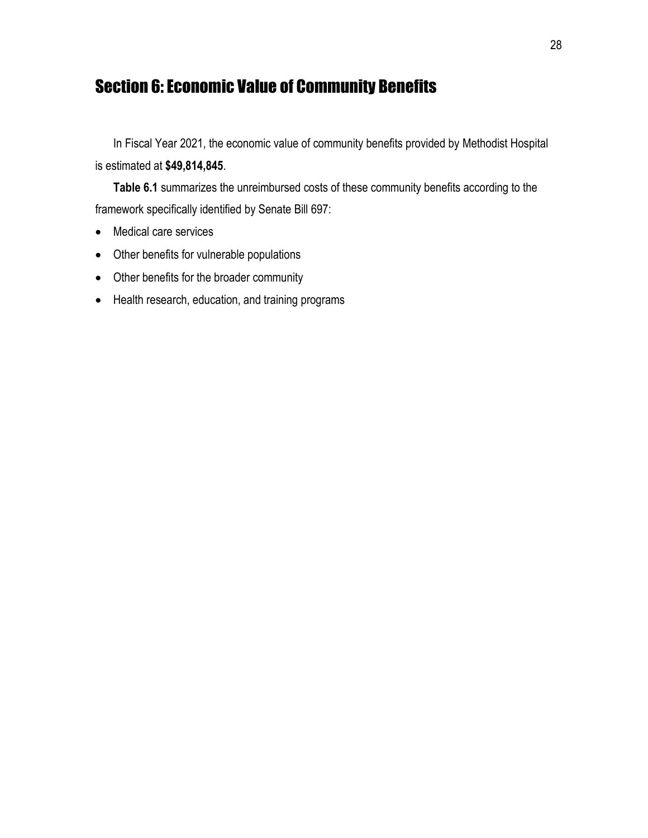# Section 6: Economic Value of Community Benefits

In Fiscal Year 2021, the economic value of community benefits provided by Methodist Hospital is estimated at **\$49,814,845**.

**Table 6.1** summarizes the unreimbursed costs of these community benefits according to the framework specifically identified by Senate Bill 697:

- Medical care services
- Other benefits for vulnerable populations
- Other benefits for the broader community
- Health research, education, and training programs